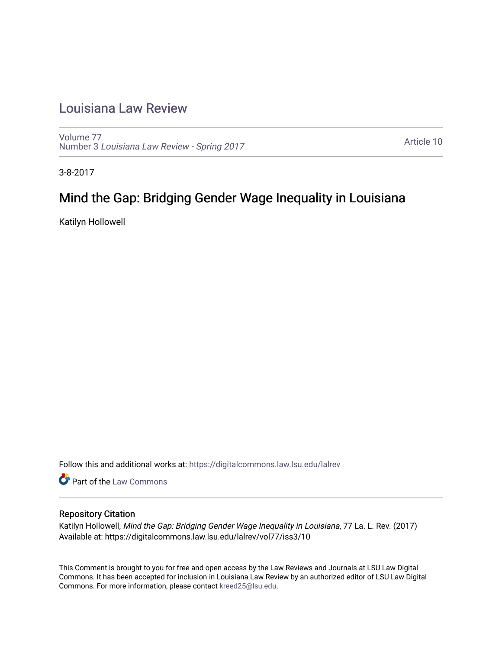# [Louisiana Law Review](https://digitalcommons.law.lsu.edu/lalrev)

[Volume 77](https://digitalcommons.law.lsu.edu/lalrev/vol77) Number 3 [Louisiana Law Review - Spring 2017](https://digitalcommons.law.lsu.edu/lalrev/vol77/iss3) 

[Article 10](https://digitalcommons.law.lsu.edu/lalrev/vol77/iss3/10) 

3-8-2017

# Mind the Gap: Bridging Gender Wage Inequality in Louisiana

Katilyn Hollowell

Follow this and additional works at: [https://digitalcommons.law.lsu.edu/lalrev](https://digitalcommons.law.lsu.edu/lalrev?utm_source=digitalcommons.law.lsu.edu%2Flalrev%2Fvol77%2Fiss3%2F10&utm_medium=PDF&utm_campaign=PDFCoverPages)

Part of the [Law Commons](http://network.bepress.com/hgg/discipline/578?utm_source=digitalcommons.law.lsu.edu%2Flalrev%2Fvol77%2Fiss3%2F10&utm_medium=PDF&utm_campaign=PDFCoverPages)

# Repository Citation

Katilyn Hollowell, Mind the Gap: Bridging Gender Wage Inequality in Louisiana, 77 La. L. Rev. (2017) Available at: https://digitalcommons.law.lsu.edu/lalrev/vol77/iss3/10

This Comment is brought to you for free and open access by the Law Reviews and Journals at LSU Law Digital Commons. It has been accepted for inclusion in Louisiana Law Review by an authorized editor of LSU Law Digital Commons. For more information, please contact [kreed25@lsu.edu](mailto:kreed25@lsu.edu).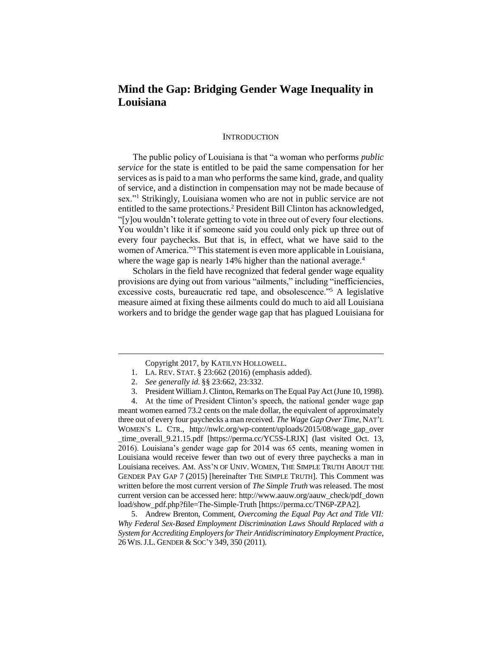# **Mind the Gap: Bridging Gender Wage Inequality in Louisiana**

#### **INTRODUCTION**

The public policy of Louisiana is that "a woman who performs *public service* for the state is entitled to be paid the same compensation for her services as is paid to a man who performs the same kind, grade, and quality of service, and a distinction in compensation may not be made because of sex."<sup>1</sup> Strikingly, Louisiana women who are not in public service are not entitled to the same protections.<sup>2</sup> President Bill Clinton has acknowledged, "[y]ou wouldn't tolerate getting to vote in three out of every four elections. You wouldn't like it if someone said you could only pick up three out of every four paychecks. But that is, in effect, what we have said to the women of America."<sup>3</sup> This statement is even more applicable in Louisiana, where the wage gap is nearly 14% higher than the national average.<sup>4</sup>

Scholars in the field have recognized that federal gender wage equality provisions are dying out from various "ailments," including "inefficiencies, excessive costs, bureaucratic red tape, and obsolescence."<sup>5</sup> A legislative measure aimed at fixing these ailments could do much to aid all Louisiana workers and to bridge the gender wage gap that has plagued Louisiana for

 $\overline{a}$ 

5. Andrew Brenton, Comment, *Overcoming the Equal Pay Act and Title VII: Why Federal Sex-Based Employment Discrimination Laws Should Replaced with a System for Accrediting Employers for Their Antidiscriminatory Employment Practice*, 26 WIS.J.L. GENDER & SOC'Y 349, 350 (2011).

Copyright 2017, by KATILYN HOLLOWELL.

<sup>1.</sup> LA. REV. STAT. § 23:662 (2016) (emphasis added).

<sup>2.</sup> *See generally id.* §§ 23:662, 23:332.

<sup>3.</sup> President William J. Clinton, Remarks on The Equal Pay Act (June 10, 1998).

<sup>4.</sup> At the time of President Clinton's speech, the national gender wage gap meant women earned 73.2 cents on the male dollar, the equivalent of approximately three out of every four paychecks a man received. *The Wage Gap Over Time*, NAT'L WOMEN'S L. CTR., http://nwlc.org/wp-content/uploads/2015/08/wage\_gap\_over time\_overall\_9.21.15.pdf [https://perma.cc/YC5S-LRJX] (last visited Oct. 13, 2016). Louisiana's gender wage gap for 2014 was 65 cents, meaning women in Louisiana would receive fewer than two out of every three paychecks a man in Louisiana receives. AM. ASS'N OF UNIV. WOMEN, THE SIMPLE TRUTH ABOUT THE GENDER PAY GAP 7 (2015) [hereinafter THE SIMPLE TRUTH]. This Comment was written before the most current version of *The Simple Truth* was released. The most current version can be accessed here: http://www.aauw.org/aauw\_check/pdf\_down load/show\_pdf.php?file=The-Simple-Truth [https://perma.cc/TN6P-ZPA2].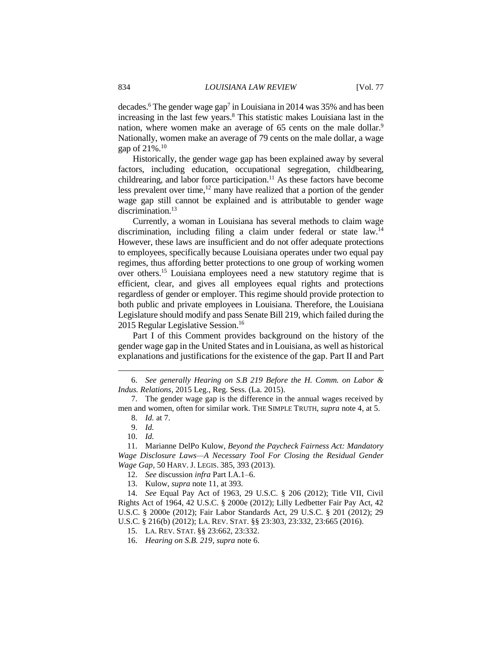decades.<sup>6</sup> The gender wage gap<sup>7</sup> in Louisiana in 2014 was 35% and has been increasing in the last few years.<sup>8</sup> This statistic makes Louisiana last in the nation, where women make an average of 65 cents on the male dollar.<sup>9</sup> Nationally, women make an average of 79 cents on the male dollar, a wage gap of  $21\%$ <sup>10</sup>

Historically, the gender wage gap has been explained away by several factors, including education, occupational segregation, childbearing, childrearing, and labor force participation.<sup>11</sup> As these factors have become less prevalent over time, $12$  many have realized that a portion of the gender wage gap still cannot be explained and is attributable to gender wage discrimination.<sup>13</sup>

Currently, a woman in Louisiana has several methods to claim wage discrimination, including filing a claim under federal or state law.<sup>14</sup> However, these laws are insufficient and do not offer adequate protections to employees, specifically because Louisiana operates under two equal pay regimes, thus affording better protections to one group of working women over others.<sup>15</sup> Louisiana employees need a new statutory regime that is efficient, clear, and gives all employees equal rights and protections regardless of gender or employer. This regime should provide protection to both public and private employees in Louisiana. Therefore, the Louisiana Legislature should modify and pass Senate Bill 219, which failed during the 2015 Regular Legislative Session.<sup>16</sup>

Part I of this Comment provides background on the history of the gender wage gap in the United States and in Louisiana, as well as historical explanations and justifications for the existence of the gap. Part II and Part

<sup>6.</sup> *See generally Hearing on S.B 219 Before the H. Comm. on Labor & Indus. Relations*, 2015 Leg., Reg. Sess. (La. 2015).

<sup>7.</sup> The gender wage gap is the difference in the annual wages received by men and women, often for similar work. THE SIMPLE TRUTH, *supra* note 4, at 5.

<sup>8.</sup> *Id.* at 7.

<sup>9.</sup> *Id.* 

<sup>10.</sup> *Id.*

<sup>11.</sup> Marianne DelPo Kulow, *Beyond the Paycheck Fairness Act: Mandatory*  Wage Disclosure Laws-A Necessary Tool For Closing the Residual Gender *Wage Gap*, 50 HARV. J. LEGIS. 385, 393 (2013).

<sup>12.</sup> *See* discussion *infra* Part I.A.1–6.

<sup>13.</sup> Kulow, *supra* note 11, at 393.

<sup>14.</sup> *See* Equal Pay Act of 1963, 29 U.S.C. § 206 (2012); Title VII, Civil Rights Act of 1964, 42 U.S.C. § 2000e (2012); Lilly Ledbetter Fair Pay Act, 42 U.S.C. § 2000e (2012); Fair Labor Standards Act, 29 U.S.C. § 201 (2012); 29 U.S.C. § 216(b) (2012); LA. REV. STAT. §§ 23:303, 23:332, 23:665 (2016).

<sup>15.</sup> LA. REV. STAT. §§ 23:662, 23:332.

<sup>16.</sup> *Hearing on S.B. 219*, *supra* note 6.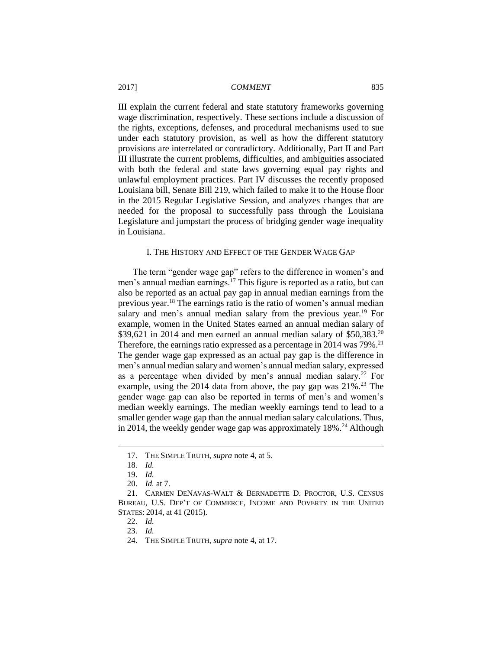III explain the current federal and state statutory frameworks governing wage discrimination, respectively. These sections include a discussion of the rights, exceptions, defenses, and procedural mechanisms used to sue under each statutory provision, as well as how the different statutory provisions are interrelated or contradictory. Additionally, Part II and Part III illustrate the current problems, difficulties, and ambiguities associated with both the federal and state laws governing equal pay rights and unlawful employment practices. Part IV discusses the recently proposed Louisiana bill, Senate Bill 219, which failed to make it to the House floor in the 2015 Regular Legislative Session, and analyzes changes that are needed for the proposal to successfully pass through the Louisiana Legislature and jumpstart the process of bridging gender wage inequality in Louisiana.

#### I. THE HISTORY AND EFFECT OF THE GENDER WAGE GAP

The term "gender wage gap" refers to the difference in women's and men's annual median earnings.<sup>17</sup> This figure is reported as a ratio, but can also be reported as an actual pay gap in annual median earnings from the previous year.<sup>18</sup> The earnings ratio is the ratio of women's annual median salary and men's annual median salary from the previous year.<sup>19</sup> For example, women in the United States earned an annual median salary of \$39,621 in 2014 and men earned an annual median salary of \$50,383.<sup>20</sup> Therefore, the earnings ratio expressed as a percentage in 2014 was 79%.<sup>21</sup> The gender wage gap expressed as an actual pay gap is the difference in men's annual median salary and women's annual median salary, expressed as a percentage when divided by men's annual median salary.<sup>22</sup> For example, using the 2014 data from above, the pay gap was  $21\%$ .<sup>23</sup> The gender wage gap can also be reported in terms of men's and women's median weekly earnings. The median weekly earnings tend to lead to a smaller gender wage gap than the annual median salary calculations. Thus, in 2014, the weekly gender wage gap was approximately  $18\%$ .<sup>24</sup> Although

<sup>17.</sup> THE SIMPLE TRUTH, *supra* note 4, at 5.

<sup>18.</sup> *Id.*

<sup>19.</sup> *Id.* 

<sup>20.</sup> *Id.* at 7.

<sup>21.</sup> CARMEN DENAVAS-WALT & BERNADETTE D. PROCTOR, U.S. CENSUS BUREAU, U.S. DEP'T OF COMMERCE, INCOME AND POVERTY IN THE UNITED STATES: 2014, at 41 (2015).

<sup>22.</sup> *Id.*

<sup>23.</sup> *Id.*

<sup>24.</sup> THE SIMPLE TRUTH, *supra* note 4, at 17.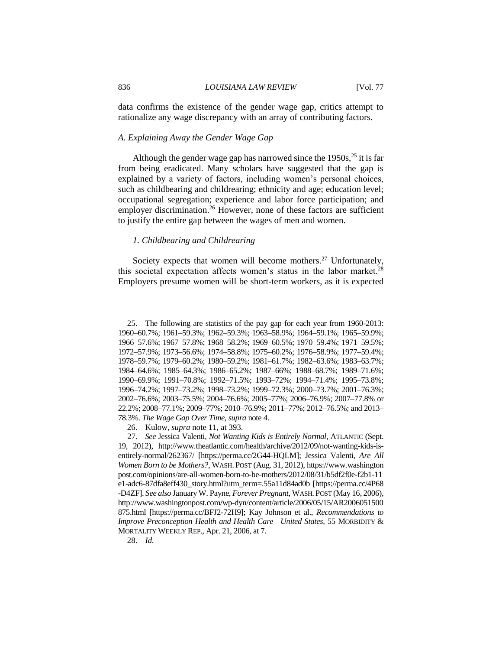data confirms the existence of the gender wage gap, critics attempt to rationalize any wage discrepancy with an array of contributing factors.

#### *A. Explaining Away the Gender Wage Gap*

Although the gender wage gap has narrowed since the  $1950s$ ,  $25$  it is far from being eradicated. Many scholars have suggested that the gap is explained by a variety of factors, including women's personal choices, such as childbearing and childrearing; ethnicity and age; education level; occupational segregation; experience and labor force participation; and employer discrimination.<sup>26</sup> However, none of these factors are sufficient to justify the entire gap between the wages of men and women.

# *1. Childbearing and Childrearing*

Society expects that women will become mothers.<sup>27</sup> Unfortunately, this societal expectation affects women's status in the labor market.<sup>28</sup> Employers presume women will be short-term workers, as it is expected

28. *Id.*

<sup>25.</sup> The following are statistics of the pay gap for each year from 1960-2013: 1960–60.7%; 1961–59.3%; 1962–59.3%; 1963–58.9%; 1964–59.1%; 1965–59.9%; 1966–57.6%; 1967–57.8%; 1968–58.2%; 1969–60.5%; 1970–59.4%; 1971–59.5%; 1972–57.9%; 1973–56.6%; 1974–58.8%; 1975–60.2%; 1976–58.9%; 1977–59.4%; 1978–59.7%; 1979–60.2%; 1980–59.2%; 1981–61.7%; 1982–63.6%; 1983–63.7%; 1984–64.6%; 1985–64.3%; 1986–65.2%; 1987–66%; 1988–68.7%; 1989–71.6%; 1990–69.9%; 1991–70.8%; 1992–71.5%; 1993–72%; 1994–71.4%; 1995–73.8%; 1996–74.2%; 1997–73.2%; 1998–73.2%; 1999–72.3%; 2000–73.7%; 2001–76.3%; 2002–76.6%; 2003–75.5%; 2004–76.6%; 2005–77%; 2006–76.9%; 2007–77.8% or 22.2%; 2008–77.1%; 2009–77%; 2010–76.9%; 2011–77%; 2012–76.5%; and 2013– 78.3%. *The Wage Gap Over Time*, *supra* note 4.

<sup>26.</sup> Kulow, *supra* note 11, at 393.

<sup>27.</sup> *See* Jessica Valenti, *Not Wanting Kids is Entirely Normal*, ATLANTIC (Sept. 19, 2012), http://www.theatlantic.com/health/archive/2012/09/not-wanting-kids-isentirely-normal/262367/ [https://perma.cc/2G44-HQLM]; Jessica Valenti, *Are All Women Born to be Mothers?*, WASH. POST (Aug. 31, 2012), https://www.washington post.com/opinions/are-all-women-born-to-be-mothers/2012/08/31/b5df2f0e-f2b1-11 e1-adc6-87dfa8eff430\_story.html?utm\_term=.55a11d84ad0b [https://perma.cc/4P68 -D4ZF]. *See also* January W. Payne, *Forever Pregnant*, WASH. POST (May 16, 2006), http://www.washingtonpost.com/wp-dyn/content/article/2006/05/15/AR2006051500 875.html [https://perma.cc/BFJ2-72H9]; Kay Johnson et al., *Recommendations to Improve Preconception Health and Health Care—United States*, 55 MORBIDITY & MORTALITY WEEKLY REP., Apr. 21, 2006, at 7.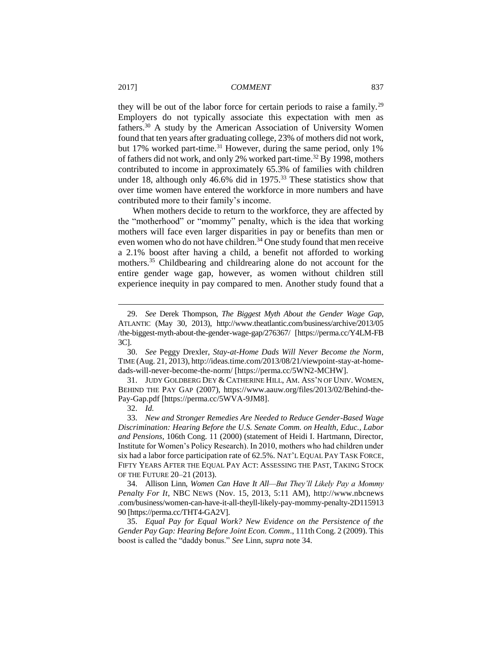they will be out of the labor force for certain periods to raise a family.<sup>29</sup> Employers do not typically associate this expectation with men as fathers.<sup>30</sup> A study by the American Association of University Women found that ten years after graduating college, 23% of mothers did not work, but 17% worked part-time.<sup>31</sup> However, during the same period, only 1% of fathers did not work, and only 2% worked part-time.<sup>32</sup> By 1998, mothers contributed to income in approximately 65.3% of families with children under 18, although only 46.6% did in  $1975$ .<sup>33</sup> These statistics show that over time women have entered the workforce in more numbers and have contributed more to their family's income.

When mothers decide to return to the workforce, they are affected by the "motherhood" or "mommy" penalty, which is the idea that working mothers will face even larger disparities in pay or benefits than men or even women who do not have children.<sup>34</sup> One study found that men receive a 2.1% boost after having a child, a benefit not afforded to working mothers.<sup>35</sup> Childbearing and childrearing alone do not account for the entire gender wage gap, however, as women without children still experience inequity in pay compared to men. Another study found that a

<sup>29.</sup> *See* Derek Thompson, *The Biggest Myth About the Gender Wage Gap*, ATLANTIC (May 30, 2013), http://www.theatlantic.com/business/archive/2013/05 /the-biggest-myth-about-the-gender-wage-gap/276367/ [https://perma.cc/Y4LM-FB 3C].

<sup>30.</sup> *See* Peggy Drexler, *Stay-at-Home Dads Will Never Become the Norm*, TIME (Aug. 21, 2013), http://ideas.time.com/2013/08/21/viewpoint-stay-at-homedads-will-never-become-the-norm/ [https://perma.cc/5WN2-MCHW].

<sup>31.</sup> JUDY GOLDBERG DEY & CATHERINE HILL, AM. ASS'N OF UNIV. WOMEN, BEHIND THE PAY GAP (2007), https://www.aauw.org/files/2013/02/Behind-the-Pay-Gap.pdf [https://perma.cc/5WVA-9JM8].

<sup>32.</sup> *Id.*

<sup>33.</sup> *New and Stronger Remedies Are Needed to Reduce Gender-Based Wage Discrimination: Hearing Before the U.S. Senate Comm. on Health, Educ., Labor and Pensions*, 106th Cong. 11 (2000) (statement of Heidi I. Hartmann, Director, Institute for Women's Policy Research). In 2010, mothers who had children under six had a labor force participation rate of 62.5%. NAT'L EQUAL PAY TASK FORCE, FIFTY YEARS AFTER THE EQUAL PAY ACT: ASSESSING THE PAST, TAKING STOCK OF THE FUTURE 20–21 (2013).

<sup>34.</sup> Allison Linn, *Women Can Have It All—But They'll Likely Pay a Mommy Penalty For It*, NBC NEWS (Nov. 15, 2013, 5:11 AM), http://www.nbcnews .com/business/women-can-have-it-all-theyll-likely-pay-mommy-penalty-2D115913 90 [https://perma.cc/THT4-GA2V].

<sup>35.</sup> *Equal Pay for Equal Work? New Evidence on the Persistence of the Gender Pay Gap: Hearing Before Joint Econ. Comm*., 111th Cong. 2 (2009). This boost is called the "daddy bonus." *See* Linn, *supra* note 34.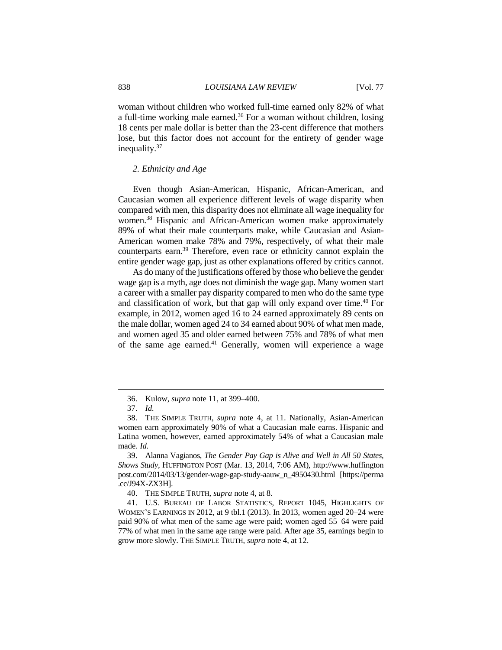woman without children who worked full-time earned only 82% of what a full-time working male earned.<sup>36</sup> For a woman without children, losing 18 cents per male dollar is better than the 23-cent difference that mothers lose, but this factor does not account for the entirety of gender wage inequality.<sup>37</sup>

#### *2. Ethnicity and Age*

Even though Asian-American, Hispanic, African-American, and Caucasian women all experience different levels of wage disparity when compared with men, this disparity does not eliminate all wage inequality for women.<sup>38</sup> Hispanic and African-American women make approximately 89% of what their male counterparts make, while Caucasian and Asian-American women make 78% and 79%, respectively, of what their male counterparts earn.<sup>39</sup> Therefore, even race or ethnicity cannot explain the entire gender wage gap, just as other explanations offered by critics cannot.

As do many of the justifications offered by those who believe the gender wage gap is a myth, age does not diminish the wage gap. Many women start a career with a smaller pay disparity compared to men who do the same type and classification of work, but that gap will only expand over time.<sup>40</sup> For example, in 2012, women aged 16 to 24 earned approximately 89 cents on the male dollar, women aged 24 to 34 earned about 90% of what men made, and women aged 35 and older earned between 75% and 78% of what men of the same age earned.<sup>41</sup> Generally, women will experience a wage

<sup>36.</sup> Kulow, *supra* note 11, at 399–400.

<sup>37.</sup> *Id.*

<sup>38.</sup> THE SIMPLE TRUTH, *supra* note 4, at 11. Nationally, Asian-American women earn approximately 90% of what a Caucasian male earns. Hispanic and Latina women, however, earned approximately 54% of what a Caucasian male made. *Id.*

<sup>39.</sup> Alanna Vagianos, *The Gender Pay Gap is Alive and Well in All 50 States, Shows Study*, HUFFINGTON POST (Mar. 13, 2014, 7:06 AM), http://www.huffington post.com/2014/03/13/gender-wage-gap-study-aauw\_n\_4950430.html [https://perma .cc/J94X-ZX3H].

<sup>40.</sup> THE SIMPLE TRUTH, *supra* note 4, at 8.

<sup>41.</sup> U.S. BUREAU OF LABOR STATISTICS, REPORT 1045, HIGHLIGHTS OF WOMEN'S EARNINGS IN 2012, at 9 tbl.1 (2013). In 2013, women aged 20–24 were paid 90% of what men of the same age were paid; women aged 55–64 were paid 77% of what men in the same age range were paid. After age 35, earnings begin to grow more slowly. THE SIMPLE TRUTH, *supra* note 4, at 12.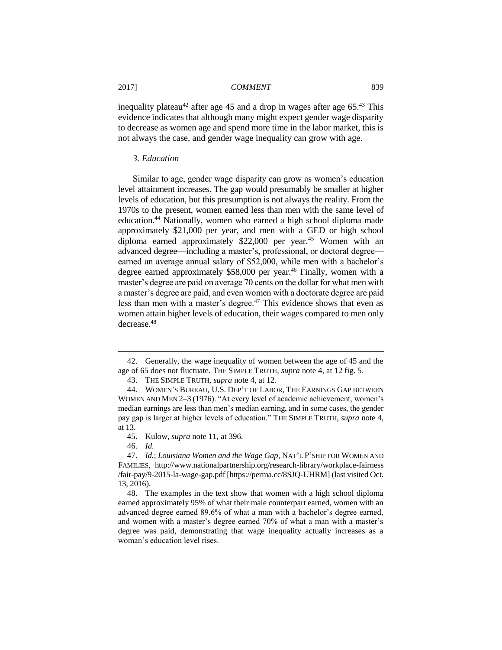inequality plateau<sup>42</sup> after age 45 and a drop in wages after age  $65.^{43}$  This evidence indicates that although many might expect gender wage disparity to decrease as women age and spend more time in the labor market, this is not always the case, and gender wage inequality can grow with age.

# *3. Education*

Similar to age, gender wage disparity can grow as women's education level attainment increases. The gap would presumably be smaller at higher levels of education, but this presumption is not always the reality. From the 1970s to the present, women earned less than men with the same level of education.<sup>44</sup> Nationally, women who earned a high school diploma made approximately \$21,000 per year, and men with a GED or high school diploma earned approximately \$22,000 per year.<sup>45</sup> Women with an advanced degree—including a master's, professional, or doctoral degree earned an average annual salary of \$52,000, while men with a bachelor's degree earned approximately \$58,000 per year.<sup>46</sup> Finally, women with a master's degree are paid on average 70 cents on the dollar for what men with a master's degree are paid, and even women with a doctorate degree are paid less than men with a master's degree.<sup>47</sup> This evidence shows that even as women attain higher levels of education, their wages compared to men only decrease. 48

46. *Id.*

<sup>42.</sup> Generally, the wage inequality of women between the age of 45 and the age of 65 does not fluctuate. THE SIMPLE TRUTH, *supra* note 4, at 12 fig. 5.

<sup>43.</sup> THE SIMPLE TRUTH, *supra* note 4, at 12.

<sup>44.</sup> WOMEN'S BUREAU, U.S. DEP'T OF LABOR, THE EARNINGS GAP BETWEEN WOMEN AND MEN 2–3 (1976). "At every level of academic achievement, women's median earnings are less than men's median earning, and in some cases, the gender pay gap is larger at higher levels of education." THE SIMPLE TRUTH, *supra* note 4, at 13.

<sup>45.</sup> Kulow, *supra* note 11, at 396.

<sup>47.</sup> *Id.*; *Louisiana Women and the Wage Gap*, NAT'L P'SHIP FOR WOMEN AND FAMILIES, http://www.nationalpartnership.org/research-library/workplace-fairness /fair-pay/9-2015-la-wage-gap.pdf [https://perma.cc/8SJQ-UHRM] (last visited Oct. 13, 2016).

<sup>48.</sup> The examples in the text show that women with a high school diploma earned approximately 95% of what their male counterpart earned, women with an advanced degree earned 89.6% of what a man with a bachelor's degree earned, and women with a master's degree earned 70% of what a man with a master's degree was paid, demonstrating that wage inequality actually increases as a woman's education level rises.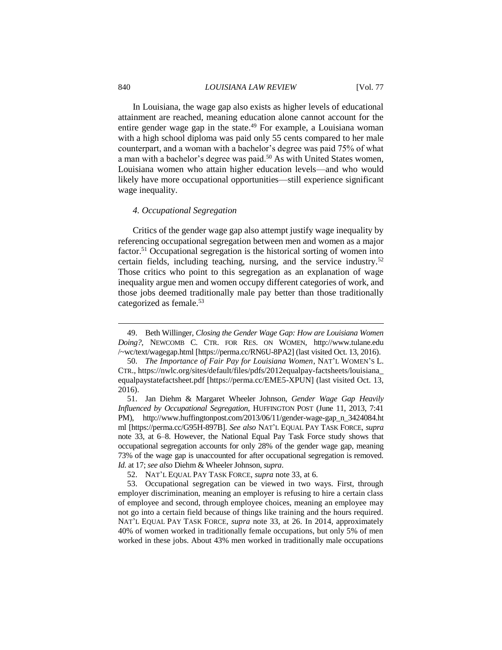#### 840 *LOUISIANA LAW REVIEW* [Vol. 77

In Louisiana, the wage gap also exists as higher levels of educational attainment are reached, meaning education alone cannot account for the entire gender wage gap in the state.<sup>49</sup> For example, a Louisiana woman with a high school diploma was paid only 55 cents compared to her male counterpart, and a woman with a bachelor's degree was paid 75% of what a man with a bachelor's degree was paid.<sup>50</sup> As with United States women, Louisiana women who attain higher education levels—and who would likely have more occupational opportunities—still experience significant wage inequality.

#### *4. Occupational Segregation*

Critics of the gender wage gap also attempt justify wage inequality by referencing occupational segregation between men and women as a major factor.<sup>51</sup> Occupational segregation is the historical sorting of women into certain fields, including teaching, nursing, and the service industry.<sup>52</sup> Those critics who point to this segregation as an explanation of wage inequality argue men and women occupy different categories of work, and those jobs deemed traditionally male pay better than those traditionally categorized as female.<sup>53</sup>

<sup>49.</sup> Beth Willinger, *Closing the Gender Wage Gap: How are Louisiana Women Doing?*, NEWCOMB C. CTR. FOR RES. ON WOMEN, http://www.tulane.edu /~wc/text/wagegap.html [https://perma.cc/RN6U-8PA2] (last visited Oct. 13, 2016).

<sup>50.</sup> *The Importance of Fair Pay for Louisiana Women*, NAT'L WOMEN'S L. CTR., https://nwlc.org/sites/default/files/pdfs/2012equalpay-factsheets/louisiana\_ equalpaystatefactsheet.pdf [https://perma.cc/EME5-XPUN] (last visited Oct. 13, 2016).

<sup>51.</sup> Jan Diehm & Margaret Wheeler Johnson, *Gender Wage Gap Heavily Influenced by Occupational Segregation*, HUFFINGTON POST (June 11, 2013, 7:41 PM), http://www.huffingtonpost.com/2013/06/11/gender-wage-gap\_n\_3424084.ht ml [https://perma.cc/G95H-897B]. *See also* NAT'L EQUAL PAY TASK FORCE, *supra*  note 33, at 6–8. However, the National Equal Pay Task Force study shows that occupational segregation accounts for only 28% of the gender wage gap, meaning 73% of the wage gap is unaccounted for after occupational segregation is removed. *Id.* at 17; *see also* Diehm & Wheeler Johnson, *supra*.

<sup>52.</sup> NAT'L EQUAL PAY TASK FORCE, *supra* note 33, at 6.

<sup>53.</sup> Occupational segregation can be viewed in two ways. First, through employer discrimination, meaning an employer is refusing to hire a certain class of employee and second, through employee choices, meaning an employee may not go into a certain field because of things like training and the hours required. NAT'L EQUAL PAY TASK FORCE, *supra* note 33, at 26. In 2014, approximately 40% of women worked in traditionally female occupations, but only 5% of men worked in these jobs. About 43% men worked in traditionally male occupations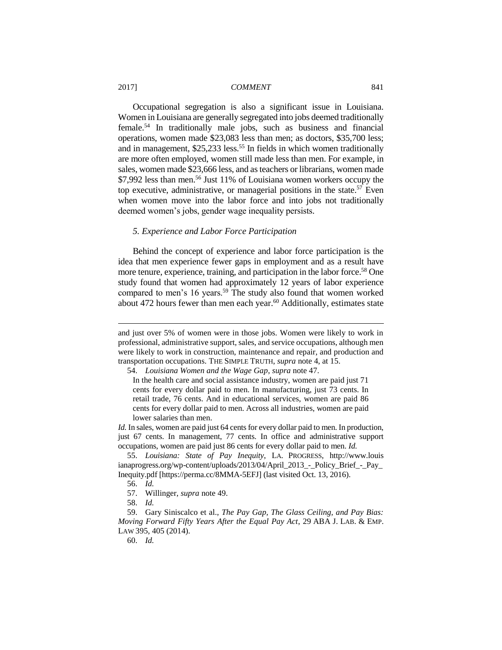Occupational segregation is also a significant issue in Louisiana. Women in Louisiana are generally segregated into jobs deemed traditionally female.<sup>54</sup> In traditionally male jobs, such as business and financial operations, women made \$23,083 less than men; as doctors, \$35,700 less; and in management,  $$25,233$  less.<sup>55</sup> In fields in which women traditionally are more often employed, women still made less than men. For example, in sales, women made \$23,666 less, and as teachers or librarians, women made \$7,992 less than men.<sup>56</sup> Just 11% of Louisiana women workers occupy the top executive, administrative, or managerial positions in the state.<sup>57</sup> Even when women move into the labor force and into jobs not traditionally deemed women's jobs, gender wage inequality persists.

#### *5. Experience and Labor Force Participation*

Behind the concept of experience and labor force participation is the idea that men experience fewer gaps in employment and as a result have more tenure, experience, training, and participation in the labor force.<sup>58</sup> One study found that women had approximately 12 years of labor experience compared to men's 16 years.<sup>59</sup> The study also found that women worked about 472 hours fewer than men each year.<sup>60</sup> Additionally, estimates state

54. *Louisiana Women and the Wage Gap*, *supra* note 47.

*Id.* In sales, women are paid just 64 cents for every dollar paid to men. In production, just 67 cents. In management, 77 cents. In office and administrative support occupations, women are paid just 86 cents for every dollar paid to men. *Id.*

55. *Louisiana: State of Pay Inequity*, LA. PROGRESS, http://www.louis ianaprogress.org/wp-content/uploads/2013/04/April\_2013\_-\_Policy\_Brief\_-\_Pay\_ Inequity.pdf [https://perma.cc/8MMA-5EFJ] (last visited Oct. 13, 2016).

 $\overline{a}$ 

60. *Id.*

and just over 5% of women were in those jobs. Women were likely to work in professional, administrative support, sales, and service occupations, although men were likely to work in construction, maintenance and repair, and production and transportation occupations. THE SIMPLE TRUTH, *supra* note 4, at 15.

In the health care and social assistance industry, women are paid just 71 cents for every dollar paid to men. In manufacturing, just 73 cents. In retail trade, 76 cents. And in educational services, women are paid 86 cents for every dollar paid to men. Across all industries, women are paid lower salaries than men.

<sup>56.</sup> *Id.*

<sup>57.</sup> Willinger, *supra* note 49.

<sup>58.</sup> *Id.*

<sup>59.</sup> Gary Siniscalco et al., *The Pay Gap, The Glass Ceiling, and Pay Bias: Moving Forward Fifty Years After the Equal Pay Act*, 29 ABA J. LAB. & EMP. LAW 395, 405 (2014).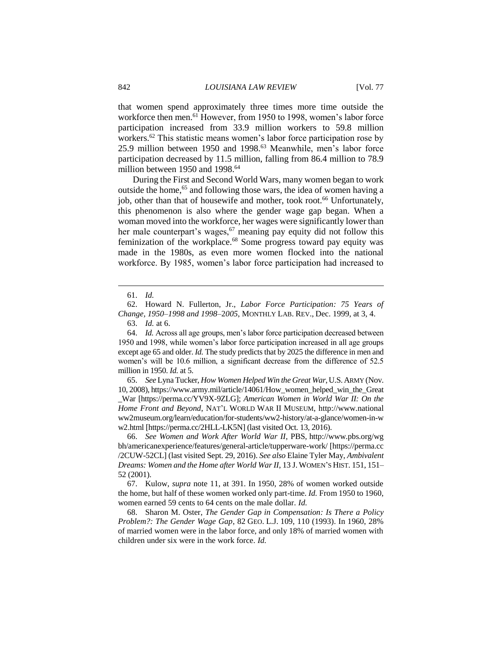that women spend approximately three times more time outside the workforce then men.<sup>61</sup> However, from 1950 to 1998, women's labor force participation increased from 33.9 million workers to 59.8 million workers.<sup>62</sup> This statistic means women's labor force participation rose by 25.9 million between 1950 and 1998.<sup>63</sup> Meanwhile, men's labor force participation decreased by 11.5 million, falling from 86.4 million to 78.9 million between 1950 and 1998.<sup>64</sup>

During the First and Second World Wars, many women began to work outside the home,<sup>65</sup> and following those wars, the idea of women having a job, other than that of housewife and mother, took root.<sup>66</sup> Unfortunately, this phenomenon is also where the gender wage gap began. When a woman moved into the workforce, her wages were significantly lower than her male counterpart's wages, $67$  meaning pay equity did not follow this feminization of the workplace.<sup>68</sup> Some progress toward pay equity was made in the 1980s, as even more women flocked into the national workforce. By 1985, women's labor force participation had increased to

 $\overline{a}$ 

65. *See* Lyna Tucker, *How Women Helped Win the Great War*,U.S. ARMY (Nov. 10, 2008), https://www.army.mil/article/14061/How\_women\_helped\_win\_the\_Great \_War [https://perma.cc/YV9X-9ZLG]; *American Women in World War II: On the Home Front and Beyond*, NAT'L WORLD WAR II MUSEUM, http://www.national ww2museum.org/learn/education/for-students/ww2-history/at-a-glance/women-in-w w2.html [https://perma.cc/2HLL-LK5N] (last visited Oct. 13, 2016).

66. *See Women and Work After World War II*, PBS, http://www.pbs.org/wg bh/americanexperience/features/general-article/tupperware-work/ [https://perma.cc /2CUW-52CL] (last visited Sept. 29, 2016). *See also* Elaine Tyler May, *Ambivalent Dreams: Women and the Home after World War II*, 13 J. WOMEN'S HIST. 151, 151– 52 (2001).

67. Kulow, *supra* note 11, at 391. In 1950, 28% of women worked outside the home, but half of these women worked only part-time. *Id.* From 1950 to 1960, women earned 59 cents to 64 cents on the male dollar. *Id.*

68. Sharon M. Oster, *The Gender Gap in Compensation: Is There a Policy Problem?: The Gender Wage Gap*, 82 GEO. L.J. 109, 110 (1993). In 1960, 28% of married women were in the labor force, and only 18% of married women with children under six were in the work force. *Id.*

<sup>61.</sup> *Id.*

<sup>62.</sup> Howard N. Fullerton, Jr., *Labor Force Participation: 75 Years of Change, 1950*–*1998 and 1998*–2*005*, MONTHLY LAB. REV., Dec. 1999, at 3, 4.

<sup>63.</sup> *Id.* at 6.

<sup>64.</sup> *Id.* Across all age groups, men's labor force participation decreased between 1950 and 1998, while women's labor force participation increased in all age groups except age 65 and older. *Id.* The study predicts that by 2025 the difference in men and women's will be 10.6 million, a significant decrease from the difference of 52.5 million in 1950. *Id.* at 5.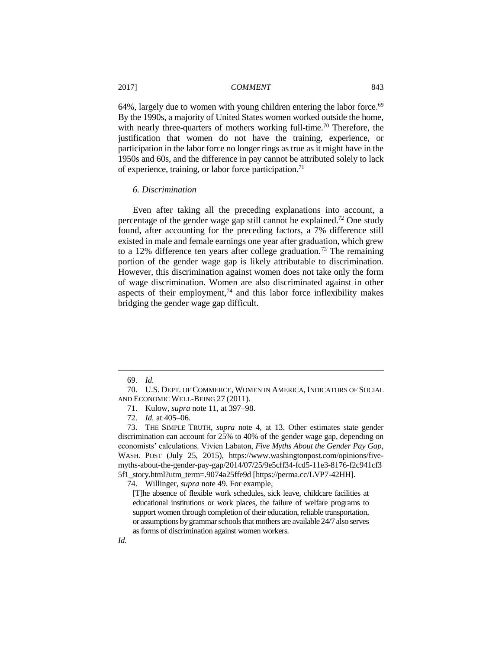64%, largely due to women with young children entering the labor force.<sup>69</sup> By the 1990s, a majority of United States women worked outside the home, with nearly three-quarters of mothers working full-time.<sup>70</sup> Therefore, the justification that women do not have the training, experience, or participation in the labor force no longer rings as true as it might have in the 1950s and 60s, and the difference in pay cannot be attributed solely to lack of experience, training, or labor force participation.<sup>71</sup>

#### *6. Discrimination*

Even after taking all the preceding explanations into account, a percentage of the gender wage gap still cannot be explained.<sup>72</sup> One study found, after accounting for the preceding factors, a 7% difference still existed in male and female earnings one year after graduation, which grew to a 12% difference ten years after college graduation.<sup>73</sup> The remaining portion of the gender wage gap is likely attributable to discrimination. However, this discrimination against women does not take only the form of wage discrimination. Women are also discriminated against in other aspects of their employment, $74$  and this labor force inflexibility makes bridging the gender wage gap difficult.

<sup>69.</sup> *Id.*

<sup>70.</sup> U.S. DEPT. OF COMMERCE, WOMEN IN AMERICA, INDICATORS OF SOCIAL AND ECONOMIC WELL-BEING 27 (2011).

<sup>71.</sup> Kulow, *supra* note 11, at 397–98.

<sup>72.</sup> *Id.* at 405–06.

<sup>73.</sup> THE SIMPLE TRUTH, *supra* note 4, at 13. Other estimates state gender discrimination can account for 25% to 40% of the gender wage gap, depending on economists' calculations. Vivien Labaton, *Five Myths About the Gender Pay Gap*, WASH. POST (July 25, 2015), https://www.washingtonpost.com/opinions/fivemyths-about-the-gender-pay-gap/2014/07/25/9e5cff34-fcd5-11e3-8176-f2c941cf3 5f1\_story.html?utm\_term=.9074a25ffe9d [https://perma.cc/LVP7-42HH].

<sup>74.</sup> Willinger, *supra* note 49. For example,

<sup>[</sup>T]he absence of flexible work schedules, sick leave, childcare facilities at educational institutions or work places, the failure of welfare programs to support women through completion of their education, reliable transportation, or assumptions by grammar schools that mothers are available 24/7 also serves as forms of discrimination against women workers.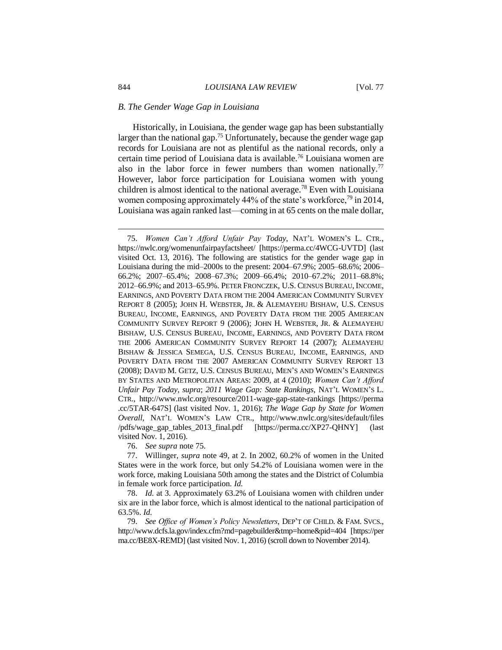#### *B. The Gender Wage Gap in Louisiana*

Historically, in Louisiana, the gender wage gap has been substantially larger than the national gap.<sup>75</sup> Unfortunately, because the gender wage gap records for Louisiana are not as plentiful as the national records, only a certain time period of Louisiana data is available.<sup>76</sup> Louisiana women are also in the labor force in fewer numbers than women nationally.<sup>77</sup> However, labor force participation for Louisiana women with young children is almost identical to the national average.<sup>78</sup> Even with Louisiana women composing approximately 44% of the state's workforce,<sup>79</sup> in 2014, Louisiana was again ranked last—coming in at 65 cents on the male dollar,

76. *See supra* note 75*.*

<sup>75.</sup> *Women Can't Afford Unfair Pay Today*, NAT'L WOMEN'S L. CTR., https://nwlc.org/womenunfairpayfactsheet/ [https://perma.cc/4WCG-UVTD] (last visited Oct. 13, 2016). The following are statistics for the gender wage gap in Louisiana during the mid–2000s to the present: 2004–67.9%; 2005–68.6%; 2006– 66.2%; 2007–65.4%; 2008–67.3%; 2009–66.4%; 2010–67.2%; 2011–68.8%; 2012–66.9%; and 2013–65.9%. PETER FRONCZEK, U.S. CENSUS BUREAU, INCOME, EARNINGS, AND POVERTY DATA FROM THE 2004 AMERICAN COMMUNITY SURVEY REPORT 8 (2005); JOHN H. WEBSTER, JR. & ALEMAYEHU BISHAW, U.S. CENSUS BUREAU, INCOME, EARNINGS, AND POVERTY DATA FROM THE 2005 AMERICAN COMMUNITY SURVEY REPORT 9 (2006); JOHN H. WEBSTER, JR. & ALEMAYEHU BISHAW, U.S. CENSUS BUREAU, INCOME, EARNINGS, AND POVERTY DATA FROM THE 2006 AMERICAN COMMUNITY SURVEY REPORT 14 (2007); ALEMAYEHU BISHAW & JESSICA SEMEGA, U.S. CENSUS BUREAU, INCOME, EARNINGS, AND POVERTY DATA FROM THE 2007 AMERICAN COMMUNITY SURVEY REPORT 13 (2008); DAVID M. GETZ, U.S. CENSUS BUREAU, MEN'S AND WOMEN'S EARNINGS BY STATES AND METROPOLITAN AREAS: 2009, at 4 (2010); *Women Can't Afford Unfair Pay Today*, *supra*; *2011 Wage Gap: State Rankings*, NAT'L WOMEN'S L. CTR., http://www.nwlc.org/resource/2011-wage-gap-state-rankings [https://perma .cc/5TAR-647S] (last visited Nov. 1, 2016); *The Wage Gap by State for Women Overall*, NAT'L WOMEN'S LAW CTR., http://www.nwlc.org/sites/default/files /pdfs/wage\_gap\_tables\_2013\_final.pdf [https://perma.cc/XP27-QHNY] (last visited Nov. 1, 2016).

<sup>77.</sup> Willinger, *supra* note 49, at 2. In 2002, 60.2% of women in the United States were in the work force, but only 54.2% of Louisiana women were in the work force, making Louisiana 50th among the states and the District of Columbia in female work force participation. *Id.*

<sup>78.</sup> *Id.* at 3. Approximately 63.2% of Louisiana women with children under six are in the labor force, which is almost identical to the national participation of 63.5%. *Id.*

<sup>79.</sup> *See Office of Women's Policy Newsletters*, DEP'T OF CHILD. & FAM. SVCS., http://www.dcfs.la.gov/index.cfm?md=pagebuilder&tmp=home&pid=404 [https://per ma.cc/BE8X-REMD] (last visited Nov. 1, 2016) (scroll down to November 2014).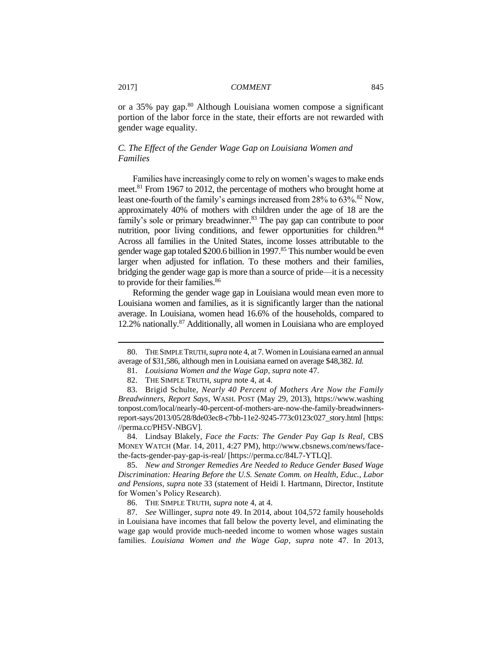or a 35% pay gap.<sup>80</sup> Although Louisiana women compose a significant portion of the labor force in the state, their efforts are not rewarded with gender wage equality.

# *C. The Effect of the Gender Wage Gap on Louisiana Women and Families*

Families have increasingly come to rely on women's wages to make ends meet.<sup>81</sup> From 1967 to 2012, the percentage of mothers who brought home at least one-fourth of the family's earnings increased from 28% to 63%.<sup>82</sup> Now, approximately 40% of mothers with children under the age of 18 are the family's sole or primary breadwinner.<sup>83</sup> The pay gap can contribute to poor nutrition, poor living conditions, and fewer opportunities for children.<sup>84</sup> Across all families in the United States, income losses attributable to the gender wage gap totaled \$200.6 billion in 1997.<sup>85</sup> This number would be even larger when adjusted for inflation. To these mothers and their families, bridging the gender wage gap is more than a source of pride—it is a necessity to provide for their families.<sup>86</sup>

Reforming the gender wage gap in Louisiana would mean even more to Louisiana women and families, as it is significantly larger than the national average. In Louisiana, women head 16.6% of the households, compared to 12.2% nationally.<sup>87</sup> Additionally, all women in Louisiana who are employed

84. Lindsay Blakely, *Face the Facts: The Gender Pay Gap Is Real*, CBS MONEY WATCH (Mar. 14, 2011, 4:27 PM), http://www.cbsnews.com/news/facethe-facts-gender-pay-gap-is-real/ [https://perma.cc/84L7-YTLQ].

85. *New and Stronger Remedies Are Needed to Reduce Gender Based Wage Discrimination: Hearing Before the U.S. Senate Comm. on Health, Educ., Labor and Pensions*, *supra* note 33 (statement of Heidi I. Hartmann, Director, Institute for Women's Policy Research).

86. THE SIMPLE TRUTH, *supra* note 4, at 4.

87. *See* Willinger, *supra* note 49. In 2014, about 104,572 family households in Louisiana have incomes that fall below the poverty level, and eliminating the wage gap would provide much-needed income to women whose wages sustain families. *Louisiana Women and the Wage Gap*, *supra* note 47. In 2013,

<sup>80.</sup> THE SIMPLE TRUTH, *supra* note 4, at 7. Women in Louisiana earned an annual average of \$31,586, although men in Louisiana earned on average \$48,382. *Id.*

<sup>81.</sup> *Louisiana Women and the Wage Gap*, *supra* note 47.

<sup>82.</sup> THE SIMPLE TRUTH, *supra* note 4, at 4.

<sup>83.</sup> Brigid Schulte, *Nearly 40 Percent of Mothers Are Now the Family Breadwinners, Report Says*, WASH. POST (May 29, 2013), https://www.washing tonpost.com/local/nearly-40-percent-of-mothers-are-now-the-family-breadwinnersreport-says/2013/05/28/8de03ec8-c7bb-11e2-9245-773c0123c027\_story.html [https: //perma.cc/PH5V-NBGV].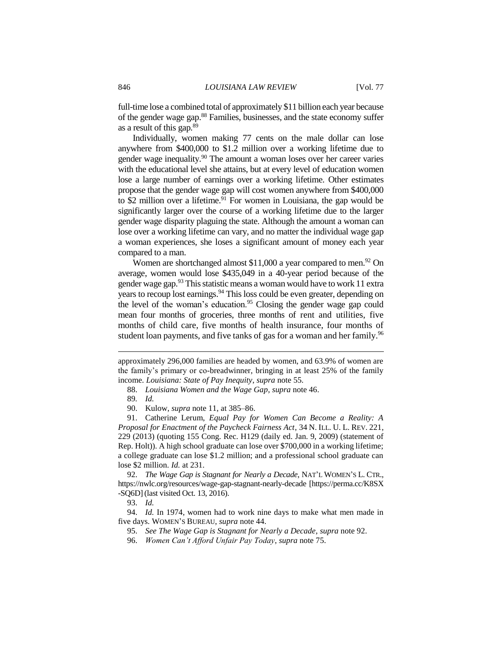full-time lose a combined total of approximately \$11 billion each year because of the gender wage gap.<sup>88</sup> Families, businesses, and the state economy suffer as a result of this gap.<sup>89</sup>

Individually, women making 77 cents on the male dollar can lose anywhere from \$400,000 to \$1.2 million over a working lifetime due to gender wage inequality.<sup>90</sup> The amount a woman loses over her career varies with the educational level she attains, but at every level of education women lose a large number of earnings over a working lifetime. Other estimates propose that the gender wage gap will cost women anywhere from \$400,000 to \$2 million over a lifetime.<sup>91</sup> For women in Louisiana, the gap would be significantly larger over the course of a working lifetime due to the larger gender wage disparity plaguing the state. Although the amount a woman can lose over a working lifetime can vary, and no matter the individual wage gap a woman experiences, she loses a significant amount of money each year compared to a man.

Women are shortchanged almost  $$11,000$  a year compared to men.<sup>92</sup> On average, women would lose \$435,049 in a 40-year period because of the gender wage gap.<sup>93</sup> This statistic means a woman would have to work 11 extra years to recoup lost earnings.<sup>94</sup> This loss could be even greater, depending on the level of the woman's education.<sup>95</sup> Closing the gender wage gap could mean four months of groceries, three months of rent and utilities, five months of child care, five months of health insurance, four months of student loan payments, and five tanks of gas for a woman and her family.<sup>96</sup>

 $\overline{a}$ 

92. *The Wage Gap is Stagnant for Nearly a Decade*, NAT'L WOMEN'S L. CTR., https://nwlc.org/resources/wage-gap-stagnant-nearly-decade [https://perma.cc/K8SX -SQ6D](last visited Oct. 13, 2016).

approximately 296,000 families are headed by women, and 63.9% of women are the family's primary or co-breadwinner, bringing in at least 25% of the family income. *Louisiana: State of Pay Inequity*, *supra* note 55.

<sup>88.</sup> *Louisiana Women and the Wage Gap*, *supra* note 46.

<sup>89</sup>*. Id.*

<sup>90.</sup> Kulow, *supra* note 11, at 385–86.

<sup>91.</sup> Catherine Lerum, *Equal Pay for Women Can Become a Reality: A Proposal for Enactment of the Paycheck Fairness Act*, 34 N. ILL. U. L. REV. 221, 229 (2013) (quoting 155 Cong. Rec. H129 (daily ed. Jan. 9, 2009) (statement of Rep. Holt)). A high school graduate can lose over \$700,000 in a working lifetime; a college graduate can lose \$1.2 million; and a professional school graduate can lose \$2 million. *Id.* at 231.

<sup>93.</sup> *Id.*

<sup>94.</sup> *Id.* In 1974, women had to work nine days to make what men made in five days. WOMEN'S BUREAU, *supra* note 44.

<sup>95.</sup> *See The Wage Gap is Stagnant for Nearly a Decade*, *supra* note 92.

<sup>96.</sup> *Women Can't Afford Unfair Pay Today*, *supra* note 75.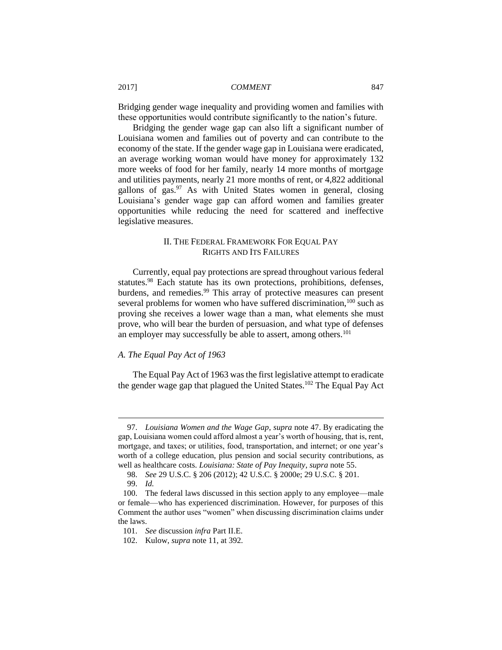Bridging gender wage inequality and providing women and families with these opportunities would contribute significantly to the nation's future.

Bridging the gender wage gap can also lift a significant number of Louisiana women and families out of poverty and can contribute to the economy of the state. If the gender wage gap in Louisiana were eradicated, an average working woman would have money for approximately 132 more weeks of food for her family, nearly 14 more months of mortgage and utilities payments, nearly 21 more months of rent, or 4,822 additional gallons of gas. $97$  As with United States women in general, closing Louisiana's gender wage gap can afford women and families greater opportunities while reducing the need for scattered and ineffective legislative measures.

# II. THE FEDERAL FRAMEWORK FOR EQUAL PAY RIGHTS AND ITS FAILURES

Currently, equal pay protections are spread throughout various federal statutes.<sup>98</sup> Each statute has its own protections, prohibitions, defenses, burdens, and remedies.<sup>99</sup> This array of protective measures can present several problems for women who have suffered discrimination,<sup>100</sup> such as proving she receives a lower wage than a man, what elements she must prove, who will bear the burden of persuasion, and what type of defenses an employer may successfully be able to assert, among others.<sup>101</sup>

#### *A. The Equal Pay Act of 1963*

The Equal Pay Act of 1963 was the first legislative attempt to eradicate the gender wage gap that plagued the United States.<sup>102</sup> The Equal Pay Act

<sup>97.</sup> *Louisiana Women and the Wage Gap*, *supra* note 47. By eradicating the gap, Louisiana women could afford almost a year's worth of housing, that is, rent, mortgage, and taxes; or utilities, food, transportation, and internet; or one year's worth of a college education, plus pension and social security contributions, as well as healthcare costs. *Louisiana: State of Pay Inequity*, *supra* note 55.

<sup>98.</sup> *See* 29 U.S.C. § 206 (2012); 42 U.S.C. § 2000e; 29 U.S.C. § 201.

<sup>99.</sup> *Id.*

<sup>100.</sup> The federal laws discussed in this section apply to any employee—male or female—who has experienced discrimination. However, for purposes of this Comment the author uses "women" when discussing discrimination claims under the laws.

<sup>101.</sup> *See* discussion *infra* Part II.E.

<sup>102.</sup> Kulow, *supra* note 11, at 392.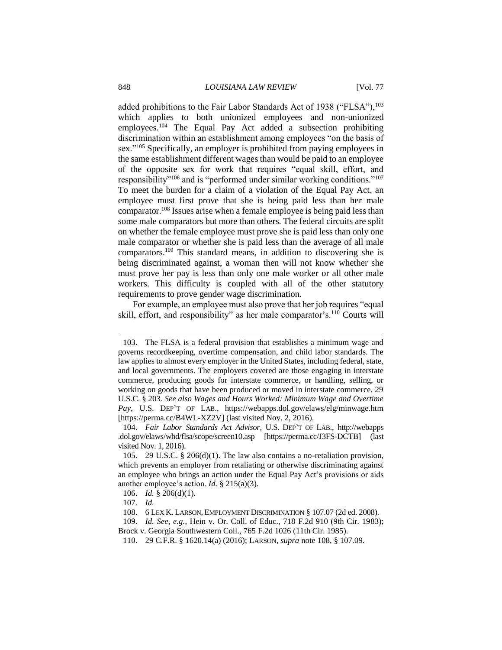added prohibitions to the Fair Labor Standards Act of 1938 ("FLSA"),<sup>103</sup> which applies to both unionized employees and non-unionized employees.<sup>104</sup> The Equal Pay Act added a subsection prohibiting discrimination within an establishment among employees "on the basis of sex."<sup>105</sup> Specifically, an employer is prohibited from paying employees in the same establishment different wages than would be paid to an employee of the opposite sex for work that requires "equal skill, effort, and responsibility"<sup>106</sup> and is "performed under similar working conditions."<sup>107</sup> To meet the burden for a claim of a violation of the Equal Pay Act, an employee must first prove that she is being paid less than her male comparator.<sup>108</sup> Issues arise when a female employee is being paid less than some male comparators but more than others. The federal circuits are split on whether the female employee must prove she is paid less than only one male comparator or whether she is paid less than the average of all male comparators.<sup>109</sup> This standard means, in addition to discovering she is being discriminated against, a woman then will not know whether she must prove her pay is less than only one male worker or all other male workers. This difficulty is coupled with all of the other statutory requirements to prove gender wage discrimination.

For example, an employee must also prove that her job requires "equal skill, effort, and responsibility" as her male comparator's.<sup>110</sup> Courts will

<sup>103.</sup> The FLSA is a federal provision that establishes a minimum wage and governs recordkeeping, overtime compensation, and child labor standards. The law applies to almost every employer in the United States, including federal, state, and local governments. The employers covered are those engaging in interstate commerce, producing goods for interstate commerce, or handling, selling, or working on goods that have been produced or moved in interstate commerce. 29 U.S.C. § 203. *See also Wages and Hours Worked: Minimum Wage and Overtime Pay*, U.S. DEP'T OF LAB., https://webapps.dol.gov/elaws/elg/minwage.htm [https://perma.cc/B4WL-XZ2V] (last visited Nov. 2, 2016).

<sup>104.</sup> *Fair Labor Standards Act Advisor*, U.S. DEP'T OF LAB., http://webapps .dol.gov/elaws/whd/flsa/scope/screen10.asp [https://perma.cc/J3FS-DCTB] (last visited Nov. 1, 2016).

<sup>105.</sup> 29 U.S.C. § 206(d)(1). The law also contains a no-retaliation provision, which prevents an employer from retaliating or otherwise discriminating against an employee who brings an action under the Equal Pay Act's provisions or aids another employee's action. *Id.* § 215(a)(3).

<sup>106.</sup> *Id.* § 206(d)(1).

<sup>107.</sup> *Id.*

<sup>108.</sup> 6 LEX K. LARSON, EMPLOYMENT DISCRIMINATION § 107.07 (2d ed. 2008).

<sup>109.</sup> *Id. See, e.g.*, Hein v. Or. Coll. of Educ., 718 F.2d 910 (9th Cir. 1983); Brock v. Georgia Southwestern Coll., 765 F.2d 1026 (11th Cir. 1985).

<sup>110.</sup> 29 C.F.R. § 1620.14(a) (2016); LARSON, *supra* note 108, § 107.09.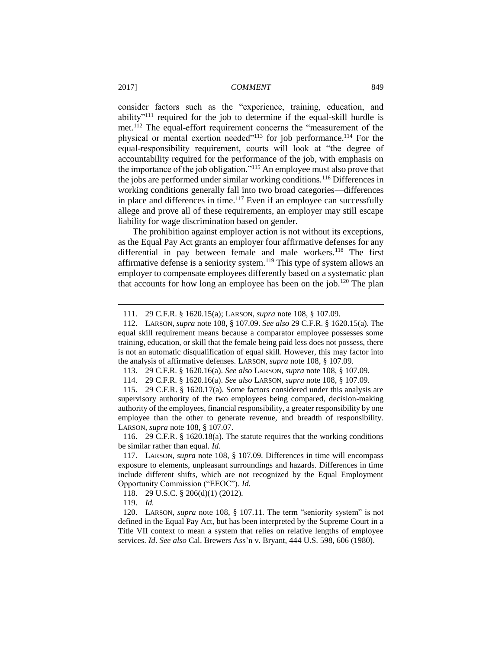consider factors such as the "experience, training, education, and ability"<sup>111</sup> required for the job to determine if the equal-skill hurdle is met.<sup>112</sup> The equal-effort requirement concerns the "measurement of the physical or mental exertion needed"<sup>113</sup> for job performance.<sup>114</sup> For the equal-responsibility requirement, courts will look at "the degree of accountability required for the performance of the job, with emphasis on the importance of the job obligation."<sup>115</sup> An employee must also prove that the jobs are performed under similar working conditions.<sup>116</sup> Differences in working conditions generally fall into two broad categories—differences in place and differences in time.<sup>117</sup> Even if an employee can successfully allege and prove all of these requirements, an employer may still escape liability for wage discrimination based on gender.

The prohibition against employer action is not without its exceptions, as the Equal Pay Act grants an employer four affirmative defenses for any differential in pay between female and male workers.<sup>118</sup> The first affirmative defense is a seniority system.<sup>119</sup> This type of system allows an employer to compensate employees differently based on a systematic plan that accounts for how long an employee has been on the job.<sup>120</sup> The plan

113. 29 C.F.R. § 1620.16(a). *See also* LARSON, *supra* note 108, § 107.09.

<sup>111.</sup> 29 C.F.R. § 1620.15(a); LARSON, *supra* note 108, § 107.09*.*

<sup>112.</sup> LARSON, *supra* note 108, § 107.09. *See also* 29 C.F.R. § 1620.15(a). The equal skill requirement means because a comparator employee possesses some training, education, or skill that the female being paid less does not possess, there is not an automatic disqualification of equal skill. However, this may factor into the analysis of affirmative defenses. LARSON, *supra* note 108, § 107.09.

<sup>114.</sup> 29 C.F.R. § 1620.16(a). *See also* LARSON, *supra* note 108, § 107.09.

<sup>115.</sup> 29 C.F.R. § 1620.17(a). Some factors considered under this analysis are supervisory authority of the two employees being compared, decision-making authority of the employees, financial responsibility, a greater responsibility by one employee than the other to generate revenue, and breadth of responsibility. LARSON, *supra* note 108, § 107.07.

<sup>116.</sup> 29 C.F.R. § 1620.18(a). The statute requires that the working conditions be similar rather than equal. *Id*.

<sup>117.</sup> LARSON, *supra* note 108, § 107.09. Differences in time will encompass exposure to elements, unpleasant surroundings and hazards. Differences in time include different shifts, which are not recognized by the Equal Employment Opportunity Commission ("EEOC"). *Id.*

<sup>118.</sup> 29 U.S.C. § 206(d)(1) (2012).

<sup>119.</sup> *Id.*

<sup>120.</sup> LARSON, *supra* note 108, § 107.11. The term "seniority system" is not defined in the Equal Pay Act, but has been interpreted by the Supreme Court in a Title VII context to mean a system that relies on relative lengths of employee services. *Id*. *See also* Cal. Brewers Ass'n v. Bryant, 444 U.S. 598, 606 (1980).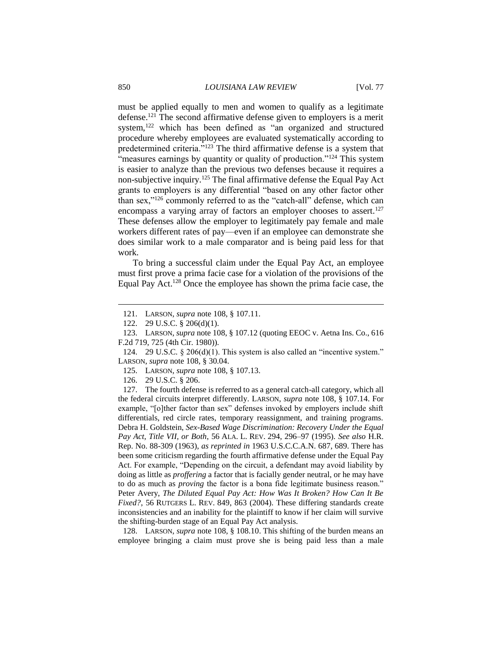must be applied equally to men and women to qualify as a legitimate defense.<sup>121</sup> The second affirmative defense given to employers is a merit system,<sup>122</sup> which has been defined as "an organized and structured procedure whereby employees are evaluated systematically according to predetermined criteria."<sup>123</sup> The third affirmative defense is a system that "measures earnings by quantity or quality of production."<sup>124</sup> This system is easier to analyze than the previous two defenses because it requires a non-subjective inquiry.<sup>125</sup> The final affirmative defense the Equal Pay Act grants to employers is any differential "based on any other factor other than sex,"<sup>126</sup> commonly referred to as the "catch-all" defense, which can encompass a varying array of factors an employer chooses to assert.<sup>127</sup> These defenses allow the employer to legitimately pay female and male workers different rates of pay—even if an employee can demonstrate she does similar work to a male comparator and is being paid less for that work.

To bring a successful claim under the Equal Pay Act, an employee must first prove a prima facie case for a violation of the provisions of the Equal Pay Act.<sup>128</sup> Once the employee has shown the prima facie case, the

125. LARSON, *supra* note 108, § 107.13.

126. 29 U.S.C. § 206.

127. The fourth defense is referred to as a general catch-all category, which all the federal circuits interpret differently. LARSON, *supra* note 108, § 107.14. For example, "[o]ther factor than sex" defenses invoked by employers include shift differentials, red circle rates, temporary reassignment, and training programs. Debra H. Goldstein, *Sex-Based Wage Discrimination: Recovery Under the Equal Pay Act, Title VII, or Both*, 56 ALA. L. REV. 294, 296–97 (1995). *See also* H.R. Rep. No. 88-309 (1963), *as reprinted in* 1963 U.S.C.C.A.N. 687, 689. There has been some criticism regarding the fourth affirmative defense under the Equal Pay Act. For example, "Depending on the circuit, a defendant may avoid liability by doing as little as *proffering* a factor that is facially gender neutral, or he may have to do as much as *proving* the factor is a bona fide legitimate business reason." Peter Avery, *The Diluted Equal Pay Act: How Was It Broken? How Can It Be Fixed?*, 56 RUTGERS L. REV. 849, 863 (2004). These differing standards create inconsistencies and an inability for the plaintiff to know if her claim will survive the shifting-burden stage of an Equal Pay Act analysis.

128. LARSON, *supra* note 108, § 108.10. This shifting of the burden means an employee bringing a claim must prove she is being paid less than a male

<sup>121.</sup> LARSON, *supra* note 108, § 107.11.

<sup>122.</sup> 29 U.S.C. § 206(d)(1).

<sup>123.</sup> LARSON, *supra* note 108, § 107.12 (quoting EEOC v. Aetna Ins. Co., 616 F.2d 719, 725 (4th Cir. 1980)).

<sup>124.</sup> 29 U.S.C. § 206(d)(1). This system is also called an "incentive system." LARSON, *supra* note 108, § 30.04.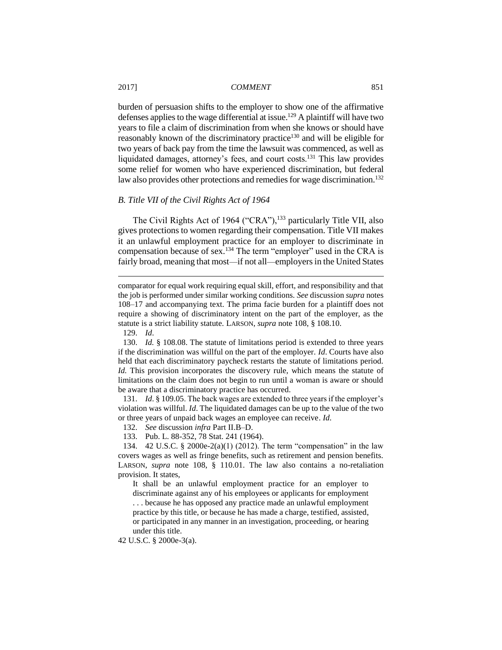burden of persuasion shifts to the employer to show one of the affirmative defenses applies to the wage differential at issue.<sup>129</sup> A plaintiff will have two years to file a claim of discrimination from when she knows or should have reasonably known of the discriminatory practice<sup>130</sup> and will be eligible for two years of back pay from the time the lawsuit was commenced, as well as liquidated damages, attorney's fees, and court costs.<sup>131</sup> This law provides some relief for women who have experienced discrimination, but federal law also provides other protections and remedies for wage discrimination.<sup>132</sup>

# *B. Title VII of the Civil Rights Act of 1964*

The Civil Rights Act of 1964 ("CRA"),<sup>133</sup> particularly Title VII, also gives protections to women regarding their compensation. Title VII makes it an unlawful employment practice for an employer to discriminate in compensation because of sex.<sup>134</sup> The term "employer" used in the CRA is fairly broad, meaning that most—if not all—employers in the United States

129. *Id*.

 $\overline{a}$ 

130. *Id.* § 108.08. The statute of limitations period is extended to three years if the discrimination was willful on the part of the employer. *Id*. Courts have also held that each discriminatory paycheck restarts the statute of limitations period. *Id.* This provision incorporates the discovery rule, which means the statute of limitations on the claim does not begin to run until a woman is aware or should be aware that a discriminatory practice has occurred.

131. *Id*. § 109.05. The back wages are extended to three years if the employer's violation was willful. *Id*. The liquidated damages can be up to the value of the two or three years of unpaid back wages an employee can receive. *Id.*

132. *See* discussion *infra* Part II.B–D.

133. Pub. L. 88-352, 78 Stat. 241 (1964).

134. 42 U.S.C. § 2000e-2(a)(1) (2012). The term "compensation" in the law covers wages as well as fringe benefits, such as retirement and pension benefits. LARSON, *supra* note 108, § 110.01. The law also contains a no-retaliation provision. It states,

It shall be an unlawful employment practice for an employer to discriminate against any of his employees or applicants for employment . . . because he has opposed any practice made an unlawful employment practice by this title, or because he has made a charge, testified, assisted, or participated in any manner in an investigation, proceeding, or hearing under this title.

42 U.S.C. § 2000e-3(a).

comparator for equal work requiring equal skill, effort, and responsibility and that the job is performed under similar working conditions. *See* discussion *supra* notes 108–17 and accompanying text. The prima facie burden for a plaintiff does not require a showing of discriminatory intent on the part of the employer, as the statute is a strict liability statute. LARSON, *supra* note 108, § 108.10.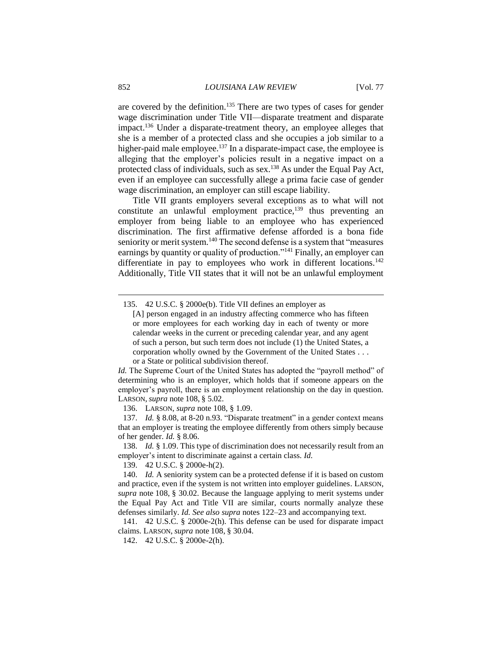are covered by the definition.<sup>135</sup> There are two types of cases for gender wage discrimination under Title VII—disparate treatment and disparate impact.<sup>136</sup> Under a disparate-treatment theory, an employee alleges that she is a member of a protected class and she occupies a job similar to a higher-paid male employee.<sup>137</sup> In a disparate-impact case, the employee is alleging that the employer's policies result in a negative impact on a protected class of individuals, such as sex.<sup>138</sup> As under the Equal Pay Act, even if an employee can successfully allege a prima facie case of gender wage discrimination, an employer can still escape liability.

Title VII grants employers several exceptions as to what will not constitute an unlawful employment practice, $^{139}$  thus preventing an employer from being liable to an employee who has experienced discrimination. The first affirmative defense afforded is a bona fide seniority or merit system.<sup>140</sup> The second defense is a system that "measures" earnings by quantity or quality of production."<sup>141</sup> Finally, an employer can differentiate in pay to employees who work in different locations.<sup>142</sup> Additionally, Title VII states that it will not be an unlawful employment

135. 42 U.S.C. § 2000e(b). Title VII defines an employer as

*Id.* The Supreme Court of the United States has adopted the "payroll method" of determining who is an employer, which holds that if someone appears on the employer's payroll, there is an employment relationship on the day in question. LARSON, *supra* note 108, § 5.02.

136. LARSON, *supra* note 108, § 1.09.

137. *Id.* § 8.08, at 8-20 n.93. "Disparate treatment" in a gender context means that an employer is treating the employee differently from others simply because of her gender. *Id.* § 8.06.

138. *Id.* § 1.09. This type of discrimination does not necessarily result from an employer's intent to discriminate against a certain class. *Id.*

139. 42 U.S.C. § 2000e-h(2).

140. *Id.* A seniority system can be a protected defense if it is based on custom and practice, even if the system is not written into employer guidelines. LARSON, *supra* note 108, § 30.02. Because the language applying to merit systems under the Equal Pay Act and Title VII are similar, courts normally analyze these defenses similarly. *Id. See also supra* notes 122–23 and accompanying text.

141. 42 U.S.C. § 2000e-2(h). This defense can be used for disparate impact claims. LARSON, *supra* note 108, § 30.04.

142. 42 U.S.C. § 2000e-2(h).

<sup>[</sup>A] person engaged in an industry affecting commerce who has fifteen or more employees for each working day in each of twenty or more calendar weeks in the current or preceding calendar year, and any agent of such a person, but such term does not include (1) the United States, a corporation wholly owned by the Government of the United States . . . or a State or political subdivision thereof.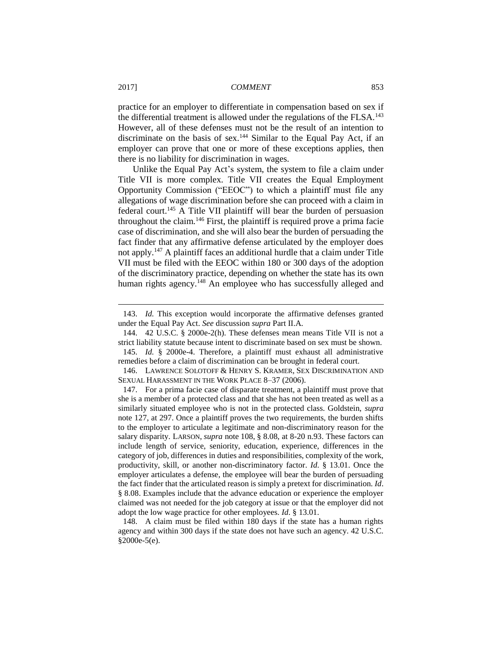practice for an employer to differentiate in compensation based on sex if the differential treatment is allowed under the regulations of the FLSA.<sup>143</sup> However, all of these defenses must not be the result of an intention to discriminate on the basis of sex.<sup>144</sup> Similar to the Equal Pay Act, if an employer can prove that one or more of these exceptions applies, then there is no liability for discrimination in wages.

Unlike the Equal Pay Act's system, the system to file a claim under Title VII is more complex. Title VII creates the Equal Employment Opportunity Commission ("EEOC") to which a plaintiff must file any allegations of wage discrimination before she can proceed with a claim in federal court.<sup>145</sup> A Title VII plaintiff will bear the burden of persuasion throughout the claim.<sup>146</sup> First, the plaintiff is required prove a prima facie case of discrimination, and she will also bear the burden of persuading the fact finder that any affirmative defense articulated by the employer does not apply.<sup>147</sup> A plaintiff faces an additional hurdle that a claim under Title VII must be filed with the EEOC within 180 or 300 days of the adoption of the discriminatory practice, depending on whether the state has its own human rights agency.<sup>148</sup> An employee who has successfully alleged and

<sup>143.</sup> *Id.* This exception would incorporate the affirmative defenses granted under the Equal Pay Act. *See* discussion *supra* Part II.A.

<sup>144.</sup> 42 U.S.C. § 2000e-2(h). These defenses mean means Title VII is not a strict liability statute because intent to discriminate based on sex must be shown.

<sup>145.</sup> *Id.* § 2000e-4. Therefore, a plaintiff must exhaust all administrative remedies before a claim of discrimination can be brought in federal court.

<sup>146.</sup> LAWRENCE SOLOTOFF & HENRY S. KRAMER, SEX DISCRIMINATION AND SEXUAL HARASSMENT IN THE WORK PLACE 8–37 (2006).

<sup>147.</sup> For a prima facie case of disparate treatment, a plaintiff must prove that she is a member of a protected class and that she has not been treated as well as a similarly situated employee who is not in the protected class. Goldstein, *supra*  note 127, at 297. Once a plaintiff proves the two requirements, the burden shifts to the employer to articulate a legitimate and non-discriminatory reason for the salary disparity. LARSON, *supra* note 108, § 8.08, at 8-20 n.93. These factors can include length of service, seniority, education, experience, differences in the category of job, differences in duties and responsibilities, complexity of the work, productivity, skill, or another non-discriminatory factor. *Id*. § 13.01. Once the employer articulates a defense, the employee will bear the burden of persuading the fact finder that the articulated reason is simply a pretext for discrimination. *Id*. § 8.08. Examples include that the advance education or experience the employer claimed was not needed for the job category at issue or that the employer did not adopt the low wage practice for other employees. *Id*. § 13.01.

<sup>148.</sup> A claim must be filed within 180 days if the state has a human rights agency and within 300 days if the state does not have such an agency. 42 U.S.C. §2000e-5(e).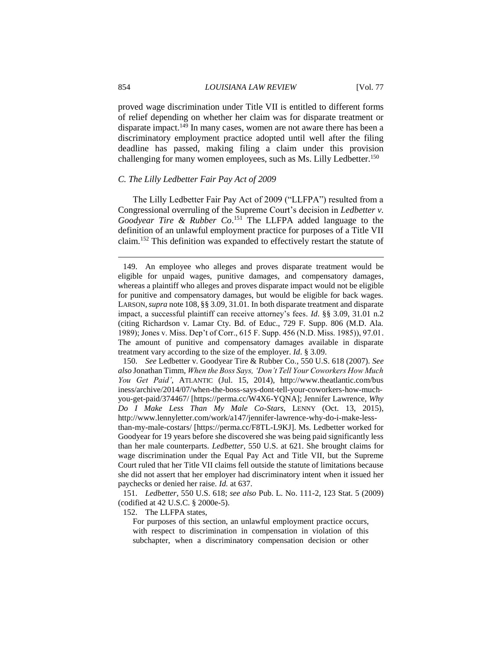#### 854 *LOUISIANA LAW REVIEW* [Vol. 77

proved wage discrimination under Title VII is entitled to different forms of relief depending on whether her claim was for disparate treatment or disparate impact.<sup>149</sup> In many cases, women are not aware there has been a discriminatory employment practice adopted until well after the filing deadline has passed, making filing a claim under this provision challenging for many women employees, such as Ms. Lilly Ledbetter.<sup>150</sup>

#### *C. The Lilly Ledbetter Fair Pay Act of 2009*

The Lilly Ledbetter Fair Pay Act of 2009 ("LLFPA") resulted from a Congressional overruling of the Supreme Court's decision in *Ledbetter v. Goodyear Tire & Rubber Co*. <sup>151</sup> The LLFPA added language to the definition of an unlawful employment practice for purposes of a Title VII claim.<sup>152</sup> This definition was expanded to effectively restart the statute of

150. *See* Ledbetter v. Goodyear Tire & Rubber Co*.*, 550 U.S. 618 (2007). *See also* Jonathan Timm, *When the Boss Says, 'Don't Tell Your Coworkers How Much You Get Paid'*, ATLANTIC (Jul. 15, 2014), http://www.theatlantic.com/bus iness/archive/2014/07/when-the-boss-says-dont-tell-your-coworkers-how-muchyou-get-paid/374467/ [https://perma.cc/W4X6-YQNA]; Jennifer Lawrence, *Why Do I Make Less Than My Male Co-Stars*, LENNY (Oct. 13, 2015), http://www.lennyletter.com/work/a147/jennifer-lawrence-why-do-i-make-lessthan-my-male-costars/ [https://perma.cc/F8TL-L9KJ]. Ms. Ledbetter worked for Goodyear for 19 years before she discovered she was being paid significantly less than her male counterparts. *Ledbetter*, 550 U.S. at 621. She brought claims for wage discrimination under the Equal Pay Act and Title VII, but the Supreme Court ruled that her Title VII claims fell outside the statute of limitations because she did not assert that her employer had discriminatory intent when it issued her paychecks or denied her raise. *Id.* at 637.

151. *Ledbetter*, 550 U.S. 618; *see also* Pub. L. No. 111-2, 123 Stat. 5 (2009) (codified at 42 U.S.C. § 2000e-5).

152. The LLFPA states,

For purposes of this section, an unlawful employment practice occurs, with respect to discrimination in compensation in violation of this subchapter, when a discriminatory compensation decision or other

<sup>149.</sup> An employee who alleges and proves disparate treatment would be eligible for unpaid wages, punitive damages, and compensatory damages, whereas a plaintiff who alleges and proves disparate impact would not be eligible for punitive and compensatory damages, but would be eligible for back wages. LARSON,*supra* note 108, §§ 3.09, 31.01. In both disparate treatment and disparate impact, a successful plaintiff can receive attorney's fees. *Id*. §§ 3.09, 31.01 n.2 (citing Richardson v. Lamar Cty. Bd. of Educ., 729 F. Supp. 806 (M.D. Ala. 1989); Jones v. Miss. Dep't of Corr., 615 F. Supp. 456 (N.D. Miss. 1985)), 97.01. The amount of punitive and compensatory damages available in disparate treatment vary according to the size of the employer. *Id*. § 3.09.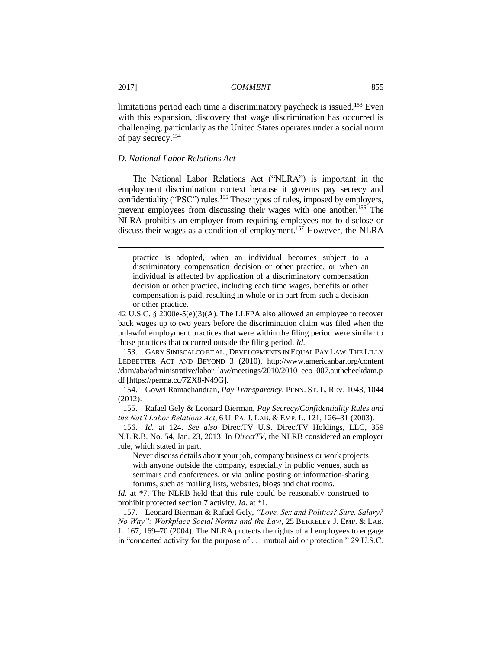limitations period each time a discriminatory paycheck is issued.<sup>153</sup> Even with this expansion, discovery that wage discrimination has occurred is challenging, particularly as the United States operates under a social norm of pay secrecy.<sup>154</sup>

# *D. National Labor Relations Act*

The National Labor Relations Act ("NLRA") is important in the employment discrimination context because it governs pay secrecy and confidentiality ("PSC") rules.<sup>155</sup> These types of rules, imposed by employers, prevent employees from discussing their wages with one another.<sup>156</sup> The NLRA prohibits an employer from requiring employees not to disclose or discuss their wages as a condition of employment.<sup>157</sup> However, the NLRA

practice is adopted, when an individual becomes subject to a discriminatory compensation decision or other practice, or when an individual is affected by application of a discriminatory compensation decision or other practice, including each time wages, benefits or other compensation is paid, resulting in whole or in part from such a decision or other practice.

42 U.S.C. § 2000e-5(e)(3)(A). The LLFPA also allowed an employee to recover back wages up to two years before the discrimination claim was filed when the unlawful employment practices that were within the filing period were similar to those practices that occurred outside the filing period. *Id.*

153. GARY SINISCALCO ET AL., DEVELOPMENTS IN EQUAL PAY LAW: THE LILLY LEDBETTER ACT AND BEYOND 3 (2010), http://www.americanbar.org/content /dam/aba/administrative/labor\_law/meetings/2010/2010\_eeo\_007.authcheckdam.p df [https://perma.cc/7ZX8-N49G].

154. Gowri Ramachandran, *Pay Transparency*, PENN. ST. L. REV. 1043, 1044 (2012).

155. Rafael Gely & Leonard Bierman, *Pay Secrecy/Confidentiality Rules and the Nat'l Labor Relations Act*, 6 U. PA. J. LAB. & EMP. L. 121, 126–31 (2003).

156. *Id.* at 124. *See also* DirectTV U.S. DirectTV Holdings, LLC, 359 N.L.R.B. No. 54, Jan. 23, 2013. In *DirectTV*, the NLRB considered an employer rule, which stated in part,

Never discuss details about your job, company business or work projects with anyone outside the company, especially in public venues, such as seminars and conferences, or via online posting or information-sharing forums, such as mailing lists, websites, blogs and chat rooms.

*Id.* at \*7. The NLRB held that this rule could be reasonably construed to prohibit protected section 7 activity. *Id.* at \*1.

157. Leonard Bierman & Rafael Gely, *"Love, Sex and Politics? Sure. Salary? No Way": Workplace Social Norms and the Law*, 25 BERKELEY J. EMP. & LAB. L. 167, 169–70 (2004). The NLRA protects the rights of all employees to engage in "concerted activity for the purpose of . . . mutual aid or protection." 29 U.S.C.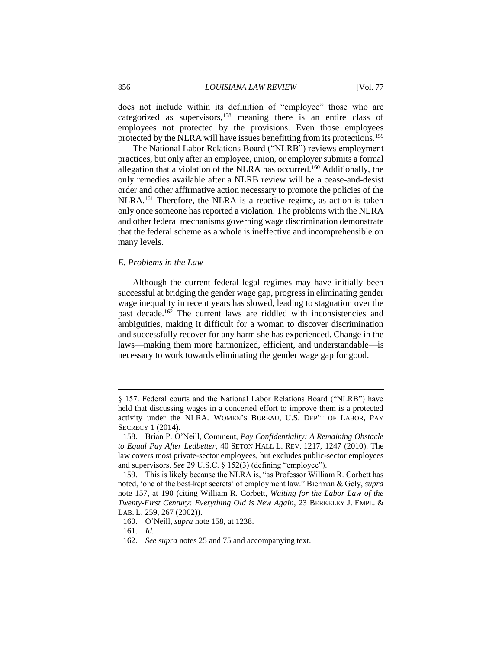does not include within its definition of "employee" those who are categorized as supervisors,<sup>158</sup> meaning there is an entire class of employees not protected by the provisions. Even those employees protected by the NLRA will have issues benefitting from its protections.<sup>159</sup>

The National Labor Relations Board ("NLRB") reviews employment practices, but only after an employee, union, or employer submits a formal allegation that a violation of the NLRA has occurred.<sup>160</sup> Additionally, the only remedies available after a NLRB review will be a cease-and-desist order and other affirmative action necessary to promote the policies of the NLRA.<sup>161</sup> Therefore, the NLRA is a reactive regime, as action is taken only once someone has reported a violation. The problems with the NLRA and other federal mechanisms governing wage discrimination demonstrate that the federal scheme as a whole is ineffective and incomprehensible on many levels.

# *E. Problems in the Law*

Although the current federal legal regimes may have initially been successful at bridging the gender wage gap, progress in eliminating gender wage inequality in recent years has slowed, leading to stagnation over the past decade.<sup>162</sup> The current laws are riddled with inconsistencies and ambiguities, making it difficult for a woman to discover discrimination and successfully recover for any harm she has experienced. Change in the laws—making them more harmonized, efficient, and understandable—is necessary to work towards eliminating the gender wage gap for good.

<sup>§ 157.</sup> Federal courts and the National Labor Relations Board ("NLRB") have held that discussing wages in a concerted effort to improve them is a protected activity under the NLRA. WOMEN'S BUREAU, U.S. DEP'T OF LABOR, PAY SECRECY 1 (2014).

<sup>158.</sup> Brian P. O'Neill, Comment, *Pay Confidentiality: A Remaining Obstacle to Equal Pay After Ledbetter*, 40 SETON HALL L. REV. 1217, 1247 (2010). The law covers most private-sector employees, but excludes public-sector employees and supervisors. *See* 29 U.S.C. § 152(3) (defining "employee").

<sup>159.</sup> This is likely because the NLRA is, "as Professor William R. Corbett has noted, 'one of the best-kept secrets' of employment law." Bierman & Gely, *supra*  note 157, at 190 (citing William R. Corbett, *Waiting for the Labor Law of the Twenty-First Century: Everything Old is New Again*, 23 BERKELEY J. EMPL. & LAB. L. 259, 267 (2002)).

<sup>160.</sup> O'Neill, *supra* note 158, at 1238.

<sup>161.</sup> *Id.*

<sup>162.</sup> *See supra* notes 25 and 75 and accompanying text.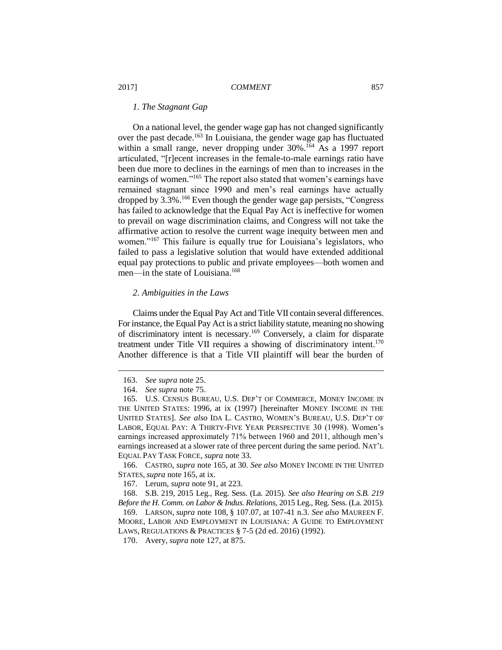# *1. The Stagnant Gap*

On a national level, the gender wage gap has not changed significantly over the past decade.<sup>163</sup> In Louisiana, the gender wage gap has fluctuated within a small range, never dropping under 30%.<sup>164</sup> As a 1997 report articulated, "[r]ecent increases in the female-to-male earnings ratio have been due more to declines in the earnings of men than to increases in the earnings of women."<sup>165</sup> The report also stated that women's earnings have remained stagnant since 1990 and men's real earnings have actually dropped by 3.3%.<sup>166</sup> Even though the gender wage gap persists, "Congress has failed to acknowledge that the Equal Pay Act is ineffective for women to prevail on wage discrimination claims, and Congress will not take the affirmative action to resolve the current wage inequity between men and women."<sup>167</sup> This failure is equally true for Louisiana's legislators, who failed to pass a legislative solution that would have extended additional equal pay protections to public and private employees—both women and men—in the state of Louisiana.<sup>168</sup>

# *2. Ambiguities in the Laws*

Claims under the Equal Pay Act and Title VII contain several differences. For instance, the Equal Pay Act is a strict liability statute, meaning no showing of discriminatory intent is necessary.<sup>169</sup> Conversely, a claim for disparate treatment under Title VII requires a showing of discriminatory intent.<sup>170</sup> Another difference is that a Title VII plaintiff will bear the burden of

 $\overline{a}$ 

168. S.B. 219, 2015 Leg., Reg. Sess. (La. 2015). *See also Hearing on S.B. 219 Before the H. Comm. on Labor & Indus. Relations*, 2015 Leg., Reg. Sess. (La. 2015).

<sup>163.</sup> *See supra* note 25.

<sup>164.</sup> *See supra* note 75.

<sup>165.</sup> U.S. CENSUS BUREAU, U.S. DEP'T OF COMMERCE, MONEY INCOME IN THE UNITED STATES: 1996, at ix (1997) [hereinafter MONEY INCOME IN THE UNITED STATES]. *See also* IDA L. CASTRO, WOMEN'S BUREAU, U.S. DEP'T OF LABOR, EQUAL PAY: A THIRTY-FIVE YEAR PERSPECTIVE 30 (1998). Women's earnings increased approximately 71% between 1960 and 2011, although men's earnings increased at a slower rate of three percent during the same period. NAT'L EQUAL PAY TASK FORCE*, supra* note 33.

<sup>166.</sup> CASTRO, *supra* note 165, at 30. *See also* MONEY INCOME IN THE UNITED STATES, *supra* note 165, at ix.

<sup>167.</sup> Lerum, *supra* note 91, at 223.

<sup>169.</sup> LARSON, *supra* note 108, § 107.07, at 107-41 n.3. *See also* MAUREEN F. MOORE, LABOR AND EMPLOYMENT IN LOUISIANA: A GUIDE TO EMPLOYMENT LAWS, REGULATIONS & PRACTICES § 7-5 (2d ed. 2016) (1992).

<sup>170.</sup> Avery, *supra* note 127, at 875.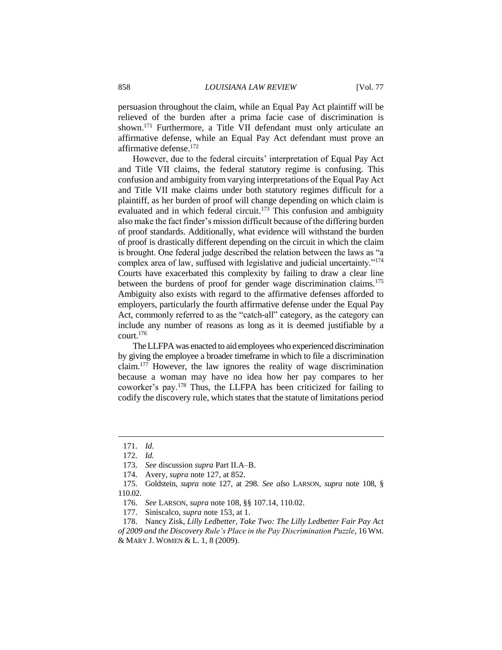persuasion throughout the claim, while an Equal Pay Act plaintiff will be relieved of the burden after a prima facie case of discrimination is shown.<sup>171</sup> Furthermore, a Title VII defendant must only articulate an affirmative defense, while an Equal Pay Act defendant must prove an affirmative defense.<sup>172</sup>

However, due to the federal circuits' interpretation of Equal Pay Act and Title VII claims, the federal statutory regime is confusing. This confusion and ambiguity from varying interpretations of the Equal Pay Act and Title VII make claims under both statutory regimes difficult for a plaintiff, as her burden of proof will change depending on which claim is evaluated and in which federal circuit.<sup>173</sup> This confusion and ambiguity also make the fact finder's mission difficult because of the differing burden of proof standards. Additionally, what evidence will withstand the burden of proof is drastically different depending on the circuit in which the claim is brought. One federal judge described the relation between the laws as "a complex area of law, suffused with legislative and judicial uncertainty."<sup>174</sup> Courts have exacerbated this complexity by failing to draw a clear line between the burdens of proof for gender wage discrimination claims.<sup>175</sup> Ambiguity also exists with regard to the affirmative defenses afforded to employers, particularly the fourth affirmative defense under the Equal Pay Act, commonly referred to as the "catch-all" category, as the category can include any number of reasons as long as it is deemed justifiable by a court.<sup>176</sup>

The LLFPA was enacted to aid employees who experienced discrimination by giving the employee a broader timeframe in which to file a discrimination claim.<sup>177</sup> However, the law ignores the reality of wage discrimination because a woman may have no idea how her pay compares to her coworker's pay.<sup>178</sup> Thus, the LLFPA has been criticized for failing to codify the discovery rule, which states that the statute of limitations period

<sup>171.</sup> *Id.*

<sup>172.</sup> *Id.*

<sup>173.</sup> *See* discussion *supra* Part II.A–B.

<sup>174.</sup> Avery, *supra* note 127, at 852.

<sup>175.</sup> Goldstein, *supra* note 127, at 298. *See also* LARSON, *supra* note 108, § 110.02.

<sup>176.</sup> *See* LARSON, *supra* note 108, §§ 107.14, 110.02.

<sup>177.</sup> Siniscalco, *supra* note 153, at 1.

<sup>178.</sup> Nancy Zisk, *Lilly Ledbetter, Take Two: The Lilly Ledbetter Fair Pay Act of 2009 and the Discovery Rule's Place in the Pay Discrimination Puzzle*, 16 WM. & MARY J. WOMEN & L. 1, 8 (2009).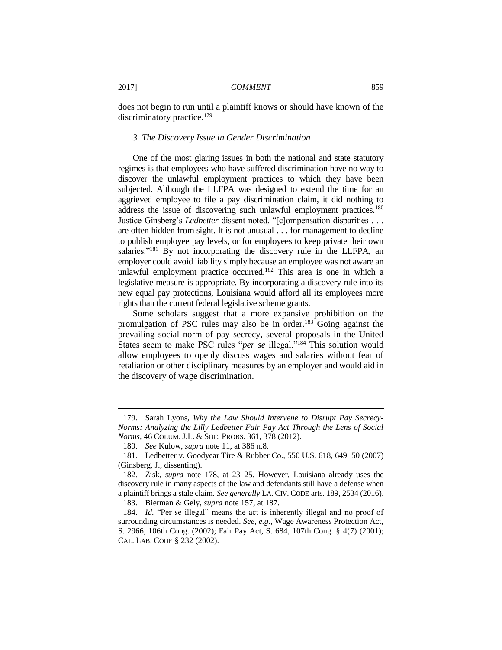does not begin to run until a plaintiff knows or should have known of the discriminatory practice.<sup>179</sup>

#### *3. The Discovery Issue in Gender Discrimination*

One of the most glaring issues in both the national and state statutory regimes is that employees who have suffered discrimination have no way to discover the unlawful employment practices to which they have been subjected. Although the LLFPA was designed to extend the time for an aggrieved employee to file a pay discrimination claim, it did nothing to address the issue of discovering such unlawful employment practices.<sup>180</sup> Justice Ginsberg's *Ledbetter* dissent noted, "[c]ompensation disparities . . . are often hidden from sight. It is not unusual . . . for management to decline to publish employee pay levels, or for employees to keep private their own salaries."<sup>181</sup> By not incorporating the discovery rule in the LLFPA, an employer could avoid liability simply because an employee was not aware an unlawful employment practice occurred.<sup>182</sup> This area is one in which a legislative measure is appropriate. By incorporating a discovery rule into its new equal pay protections, Louisiana would afford all its employees more rights than the current federal legislative scheme grants.

Some scholars suggest that a more expansive prohibition on the promulgation of PSC rules may also be in order.<sup>183</sup> Going against the prevailing social norm of pay secrecy, several proposals in the United States seem to make PSC rules "*per se* illegal."<sup>184</sup> This solution would allow employees to openly discuss wages and salaries without fear of retaliation or other disciplinary measures by an employer and would aid in the discovery of wage discrimination.

<sup>179.</sup> Sarah Lyons, *Why the Law Should Intervene to Disrupt Pay Secrecy-Norms: Analyzing the Lilly Ledbetter Fair Pay Act Through the Lens of Social Norms*, 46 COLUM. J.L. & SOC. PROBS. 361, 378 (2012).

<sup>180.</sup> *See* Kulow, *supra* note 11, at 386 n.8.

<sup>181.</sup> Ledbetter v. Goodyear Tire & Rubber Co., 550 U.S. 618, 649–50 (2007) (Ginsberg, J., dissenting).

<sup>182.</sup> Zisk, *supra* note 178, at 23–25. However, Louisiana already uses the discovery rule in many aspects of the law and defendants still have a defense when a plaintiff brings a stale claim. *See generally* LA. CIV. CODE arts. 189, 2534 (2016).

<sup>183.</sup> Bierman & Gely, *supra* note 157, at 187.

<sup>184.</sup> *Id.* "Per se illegal" means the act is inherently illegal and no proof of surrounding circumstances is needed. *See, e.g.*, Wage Awareness Protection Act, S. 2966, 106th Cong. (2002); Fair Pay Act, S. 684, 107th Cong. § 4(7) (2001); CAL. LAB. CODE § 232 (2002).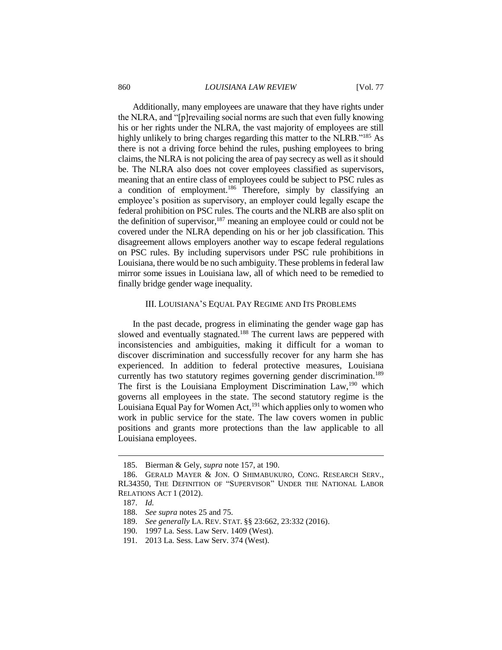#### 860 *LOUISIANA LAW REVIEW* [Vol. 77

Additionally, many employees are unaware that they have rights under the NLRA, and "[p]revailing social norms are such that even fully knowing his or her rights under the NLRA, the vast majority of employees are still highly unlikely to bring charges regarding this matter to the NLRB."<sup>185</sup> As there is not a driving force behind the rules, pushing employees to bring claims, the NLRA is not policing the area of pay secrecy as well as it should be. The NLRA also does not cover employees classified as supervisors, meaning that an entire class of employees could be subject to PSC rules as a condition of employment.<sup>186</sup> Therefore, simply by classifying an employee's position as supervisory, an employer could legally escape the federal prohibition on PSC rules. The courts and the NLRB are also split on the definition of supervisor, $187$  meaning an employee could or could not be covered under the NLRA depending on his or her job classification. This disagreement allows employers another way to escape federal regulations on PSC rules. By including supervisors under PSC rule prohibitions in Louisiana, there would be no such ambiguity. These problems in federal law mirror some issues in Louisiana law, all of which need to be remedied to finally bridge gender wage inequality.

# III. LOUISIANA'S EQUAL PAY REGIME AND ITS PROBLEMS

In the past decade, progress in eliminating the gender wage gap has slowed and eventually stagnated.<sup>188</sup> The current laws are peppered with inconsistencies and ambiguities, making it difficult for a woman to discover discrimination and successfully recover for any harm she has experienced. In addition to federal protective measures, Louisiana currently has two statutory regimes governing gender discrimination.<sup>189</sup> The first is the Louisiana Employment Discrimination Law,<sup>190</sup> which governs all employees in the state. The second statutory regime is the Louisiana Equal Pay for Women Act,<sup>191</sup> which applies only to women who work in public service for the state. The law covers women in public positions and grants more protections than the law applicable to all Louisiana employees.

<sup>185.</sup> Bierman & Gely, *supra* note 157, at 190.

<sup>186.</sup> GERALD MAYER & JON. O SHIMABUKURO, CONG. RESEARCH SERV., RL34350, THE DEFINITION OF "SUPERVISOR" UNDER THE NATIONAL LABOR RELATIONS ACT 1 (2012).

<sup>187.</sup> *Id.*

<sup>188.</sup> *See supra* notes 25 and 75.

<sup>189.</sup> *See generally* LA. REV. STAT. §§ 23:662, 23:332 (2016).

<sup>190.</sup> 1997 La. Sess. Law Serv. 1409 (West).

<sup>191.</sup> 2013 La. Sess. Law Serv. 374 (West).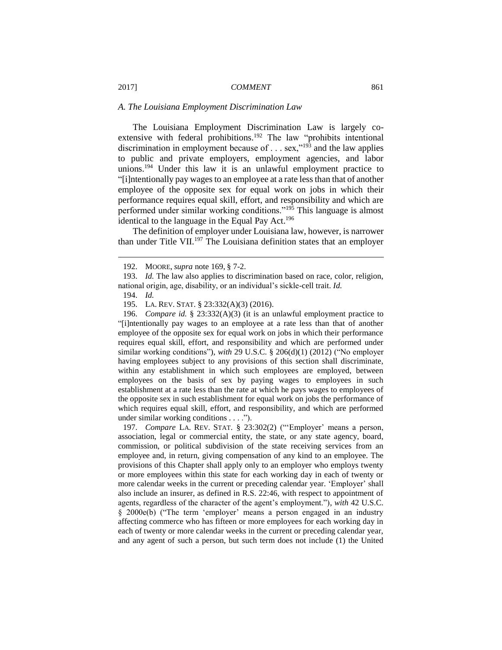#### *A. The Louisiana Employment Discrimination Law*

The Louisiana Employment Discrimination Law is largely coextensive with federal prohibitions.<sup>192</sup> The law "prohibits intentional discrimination in employment because of  $\dots$  sex,"<sup>193</sup> and the law applies to public and private employers, employment agencies, and labor unions.<sup>194</sup> Under this law it is an unlawful employment practice to "[i]ntentionally pay wages to an employee at a rate less than that of another employee of the opposite sex for equal work on jobs in which their performance requires equal skill, effort, and responsibility and which are performed under similar working conditions."<sup>195</sup> This language is almost identical to the language in the Equal Pay Act.<sup>196</sup>

The definition of employer under Louisiana law, however, is narrower than under Title VII.<sup>197</sup> The Louisiana definition states that an employer

 $\overline{a}$ 

196. *Compare id.* § 23:332(A)(3) (it is an unlawful employment practice to "[i]ntentionally pay wages to an employee at a rate less than that of another employee of the opposite sex for equal work on jobs in which their performance requires equal skill, effort, and responsibility and which are performed under similar working conditions"), *with* 29 U.S.C. § 206(d)(1) (2012) ("No employer having employees subject to any provisions of this section shall discriminate, within any establishment in which such employees are employed, between employees on the basis of sex by paying wages to employees in such establishment at a rate less than the rate at which he pays wages to employees of the opposite sex in such establishment for equal work on jobs the performance of which requires equal skill, effort, and responsibility, and which are performed under similar working conditions . . . .").

197. *Compare* LA. REV. STAT. § 23:302(2) ("'Employer' means a person, association, legal or commercial entity, the state, or any state agency, board, commission, or political subdivision of the state receiving services from an employee and, in return, giving compensation of any kind to an employee. The provisions of this Chapter shall apply only to an employer who employs twenty or more employees within this state for each working day in each of twenty or more calendar weeks in the current or preceding calendar year. 'Employer' shall also include an insurer, as defined in R.S. 22:46, with respect to appointment of agents, regardless of the character of the agent's employment."), *with* 42 U.S.C. § 2000e(b) ("The term 'employer' means a person engaged in an industry affecting commerce who has fifteen or more employees for each working day in each of twenty or more calendar weeks in the current or preceding calendar year, and any agent of such a person, but such term does not include (1) the United

<sup>192.</sup> MOORE, *supra* note 169, § 7-2.

<sup>193.</sup> *Id.* The law also applies to discrimination based on race, color, religion, national origin, age, disability, or an individual's sickle-cell trait. *Id.*

<sup>194.</sup> *Id.*

<sup>195.</sup> LA. REV. STAT. § 23:332(A)(3) (2016).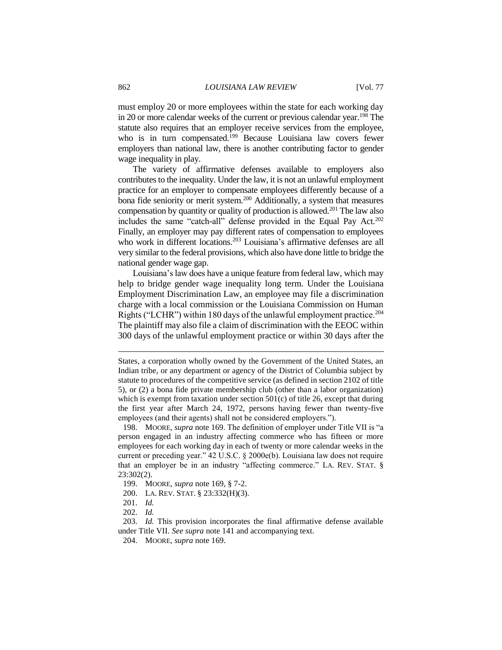must employ 20 or more employees within the state for each working day in 20 or more calendar weeks of the current or previous calendar year.<sup>198</sup> The statute also requires that an employer receive services from the employee, who is in turn compensated.<sup>199</sup> Because Louisiana law covers fewer employers than national law, there is another contributing factor to gender wage inequality in play.

The variety of affirmative defenses available to employers also contributes to the inequality. Under the law, it is not an unlawful employment practice for an employer to compensate employees differently because of a bona fide seniority or merit system.<sup>200</sup> Additionally, a system that measures compensation by quantity or quality of production is allowed.<sup>201</sup> The law also includes the same "catch-all" defense provided in the Equal Pay Act. 202 Finally, an employer may pay different rates of compensation to employees who work in different locations.<sup>203</sup> Louisiana's affirmative defenses are all very similar to the federal provisions, which also have done little to bridge the national gender wage gap.

Louisiana's law does have a unique feature from federal law, which may help to bridge gender wage inequality long term. Under the Louisiana Employment Discrimination Law, an employee may file a discrimination charge with a local commission or the Louisiana Commission on Human Rights ("LCHR") within 180 days of the unlawful employment practice.<sup>204</sup> The plaintiff may also file a claim of discrimination with the EEOC within 300 days of the unlawful employment practice or within 30 days after the

States, a corporation wholly owned by the Government of the United States, an Indian tribe, or any department or agency of the District of Columbia subject by statute to procedures of the competitive service (as defined in section 2102 of title 5), or (2) a bona fide private membership club (other than a labor organization) which is exempt from taxation under section  $501(c)$  of title 26, except that during the first year after March 24, 1972, persons having fewer than twenty-five employees (and their agents) shall not be considered employers.").

<sup>198.</sup> MOORE, *supra* note 169. The definition of employer under Title VII is "a person engaged in an industry affecting commerce who has fifteen or more employees for each working day in each of twenty or more calendar weeks in the current or preceding year." 42 U.S.C. § 2000e(b). Louisiana law does not require that an employer be in an industry "affecting commerce." LA. REV. STAT. § 23:302(2).

<sup>199.</sup> MOORE, *supra* note 169, § 7-2.

<sup>200.</sup> LA. REV. STAT. § 23:332(H)(3).

<sup>201.</sup> *Id.*

<sup>202.</sup> *Id.* 

<sup>203.</sup> *Id.* This provision incorporates the final affirmative defense available under Title VII. *See supra* note 141 and accompanying text.

<sup>204.</sup> MOORE, *supra* note 169.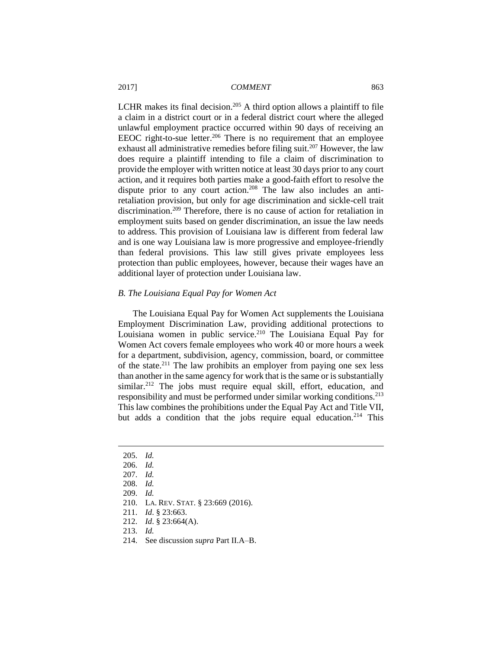LCHR makes its final decision.<sup>205</sup> A third option allows a plaintiff to file a claim in a district court or in a federal district court where the alleged unlawful employment practice occurred within 90 days of receiving an EEOC right-to-sue letter.<sup>206</sup> There is no requirement that an employee exhaust all administrative remedies before filing suit.<sup>207</sup> However, the law does require a plaintiff intending to file a claim of discrimination to provide the employer with written notice at least 30 days prior to any court action, and it requires both parties make a good-faith effort to resolve the dispute prior to any court action.<sup>208</sup> The law also includes an antiretaliation provision, but only for age discrimination and sickle-cell trait discrimination.<sup>209</sup> Therefore, there is no cause of action for retaliation in employment suits based on gender discrimination, an issue the law needs to address. This provision of Louisiana law is different from federal law and is one way Louisiana law is more progressive and employee-friendly than federal provisions. This law still gives private employees less protection than public employees, however, because their wages have an additional layer of protection under Louisiana law.

# *B. The Louisiana Equal Pay for Women Act*

The Louisiana Equal Pay for Women Act supplements the Louisiana Employment Discrimination Law, providing additional protections to Louisiana women in public service.<sup>210</sup> The Louisiana Equal Pay for Women Act covers female employees who work 40 or more hours a week for a department, subdivision, agency, commission, board, or committee of the state.<sup>211</sup> The law prohibits an employer from paying one sex less than another in the same agency for work that is the same or is substantially similar.<sup>212</sup> The jobs must require equal skill, effort, education, and responsibility and must be performed under similar working conditions.<sup>213</sup> This law combines the prohibitions under the Equal Pay Act and Title VII, but adds a condition that the jobs require equal education.<sup>214</sup> This

<sup>205.</sup> *Id.*

<sup>206.</sup> *Id.*

<sup>207.</sup> *Id.*

<sup>208.</sup> *Id.*

<sup>209.</sup> *Id.*

<sup>210.</sup> LA. REV. STAT. § 23:669 (2016).

<sup>211.</sup> *Id*. § 23:663.

<sup>212.</sup> *Id*. § 23:664(A).

<sup>213.</sup> *Id.*

<sup>214.</sup> See discussion *supra* Part II.A–B.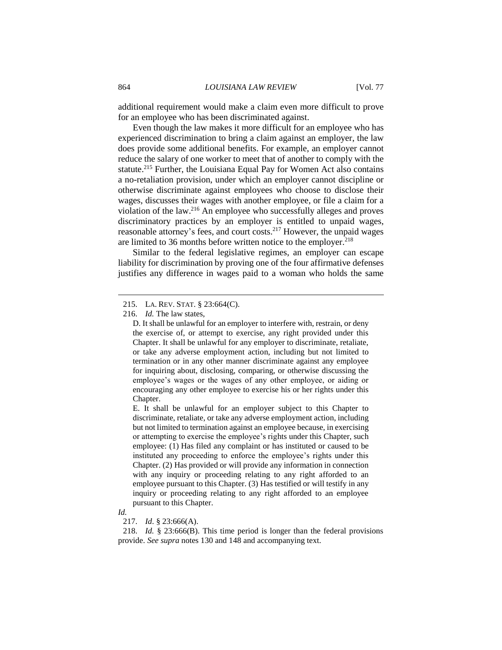additional requirement would make a claim even more difficult to prove for an employee who has been discriminated against.

Even though the law makes it more difficult for an employee who has experienced discrimination to bring a claim against an employer, the law does provide some additional benefits. For example, an employer cannot reduce the salary of one worker to meet that of another to comply with the statute.<sup>215</sup> Further, the Louisiana Equal Pay for Women Act also contains a no-retaliation provision, under which an employer cannot discipline or otherwise discriminate against employees who choose to disclose their wages, discusses their wages with another employee, or file a claim for a violation of the law.<sup>216</sup> An employee who successfully alleges and proves discriminatory practices by an employer is entitled to unpaid wages, reasonable attorney's fees, and court costs.<sup>217</sup> However, the unpaid wages are limited to 36 months before written notice to the employer.<sup>218</sup>

Similar to the federal legislative regimes, an employer can escape liability for discrimination by proving one of the four affirmative defenses justifies any difference in wages paid to a woman who holds the same

E. It shall be unlawful for an employer subject to this Chapter to discriminate, retaliate, or take any adverse employment action, including but not limited to termination against an employee because, in exercising or attempting to exercise the employee's rights under this Chapter, such employee: (1) Has filed any complaint or has instituted or caused to be instituted any proceeding to enforce the employee's rights under this Chapter. (2) Has provided or will provide any information in connection with any inquiry or proceeding relating to any right afforded to an employee pursuant to this Chapter. (3) Has testified or will testify in any inquiry or proceeding relating to any right afforded to an employee pursuant to this Chapter.

 $\overline{a}$ 

218. *Id.* § 23:666(B). This time period is longer than the federal provisions provide. *See supra* notes 130 and 148 and accompanying text.

<sup>215.</sup> LA. REV. STAT. § 23:664(C).

<sup>216.</sup> *Id.* The law states,

D. It shall be unlawful for an employer to interfere with, restrain, or deny the exercise of, or attempt to exercise, any right provided under this Chapter. It shall be unlawful for any employer to discriminate, retaliate, or take any adverse employment action, including but not limited to termination or in any other manner discriminate against any employee for inquiring about, disclosing, comparing, or otherwise discussing the employee's wages or the wages of any other employee, or aiding or encouraging any other employee to exercise his or her rights under this Chapter.

*Id.*

<sup>217.</sup> *Id*. § 23:666(A).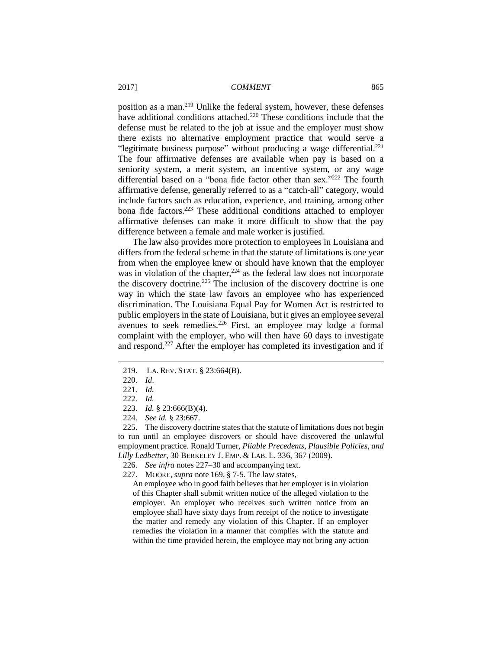position as a man. <sup>219</sup> Unlike the federal system, however, these defenses have additional conditions attached.<sup>220</sup> These conditions include that the defense must be related to the job at issue and the employer must show there exists no alternative employment practice that would serve a "legitimate business purpose" without producing a wage differential. $^{221}$ The four affirmative defenses are available when pay is based on a seniority system, a merit system, an incentive system, or any wage differential based on a "bona fide factor other than sex."<sup>222</sup> The fourth affirmative defense, generally referred to as a "catch-all" category, would include factors such as education, experience, and training, among other bona fide factors.<sup>223</sup> These additional conditions attached to employer affirmative defenses can make it more difficult to show that the pay difference between a female and male worker is justified.

The law also provides more protection to employees in Louisiana and differs from the federal scheme in that the statute of limitations is one year from when the employee knew or should have known that the employer was in violation of the chapter, $2^{24}$  as the federal law does not incorporate the discovery doctrine. <sup>225</sup> The inclusion of the discovery doctrine is one way in which the state law favors an employee who has experienced discrimination. The Louisiana Equal Pay for Women Act is restricted to public employers in the state of Louisiana, but it gives an employee several avenues to seek remedies.<sup>226</sup> First, an employee may lodge a formal complaint with the employer, who will then have 60 days to investigate and respond.<sup>227</sup> After the employer has completed its investigation and if

<sup>219.</sup> LA. REV. STAT. § 23:664(B).

<sup>220.</sup> *Id*.

<sup>221.</sup> *Id.*

<sup>222.</sup> *Id.*

<sup>223.</sup> *Id.* § 23:666(B)(4).

<sup>224.</sup> *See id.* § 23:667.

<sup>225.</sup> The discovery doctrine states that the statute of limitations does not begin to run until an employee discovers or should have discovered the unlawful employment practice. Ronald Turner, *Pliable Precedents, Plausible Policies, and Lilly Ledbetter*, 30 BERKELEY J. EMP. & LAB. L. 336, 367 (2009).

<sup>226.</sup> *See infra* notes 227–30 and accompanying text.

<sup>227.</sup> MOORE, *supra* note 169, § 7-5. The law states,

An employee who in good faith believes that her employer is in violation of this Chapter shall submit written notice of the alleged violation to the employer. An employer who receives such written notice from an employee shall have sixty days from receipt of the notice to investigate the matter and remedy any violation of this Chapter. If an employer remedies the violation in a manner that complies with the statute and within the time provided herein, the employee may not bring any action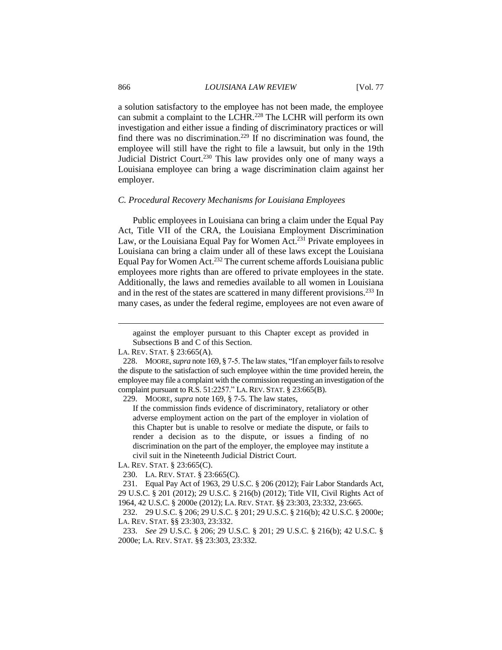a solution satisfactory to the employee has not been made, the employee can submit a complaint to the LCHR.<sup>228</sup> The LCHR will perform its own investigation and either issue a finding of discriminatory practices or will find there was no discrimination.<sup>229</sup> If no discrimination was found, the employee will still have the right to file a lawsuit, but only in the 19th Judicial District Court.<sup>230</sup> This law provides only one of many ways a Louisiana employee can bring a wage discrimination claim against her employer.

### *C. Procedural Recovery Mechanisms for Louisiana Employees*

Public employees in Louisiana can bring a claim under the Equal Pay Act, Title VII of the CRA, the Louisiana Employment Discrimination Law, or the Louisiana Equal Pay for Women Act.<sup>231</sup> Private employees in Louisiana can bring a claim under all of these laws except the Louisiana Equal Pay for Women Act.<sup>232</sup> The current scheme affords Louisiana public employees more rights than are offered to private employees in the state. Additionally, the laws and remedies available to all women in Louisiana and in the rest of the states are scattered in many different provisions.<sup>233</sup> In many cases, as under the federal regime, employees are not even aware of

LA. REV. STAT. § 23:665(C).

230. LA. REV. STAT. § 23:665(C)*.*

231. Equal Pay Act of 1963, 29 U.S.C. § 206 (2012); Fair Labor Standards Act, 29 U.S.C. § 201 (2012); 29 U.S.C. § 216(b) (2012); Title VII, Civil Rights Act of 1964, 42 U.S.C. § 2000e (2012); LA. REV. STAT. §§ 23:303, 23:332, 23:665.

232. 29 U.S.C. § 206; 29 U.S.C. § 201; 29 U.S.C. § 216(b); 42 U.S.C. § 2000e; LA. REV. STAT. §§ 23:303, 23:332.

233. *See* 29 U.S.C. § 206; 29 U.S.C. § 201; 29 U.S.C. § 216(b); 42 U.S.C. § 2000e; LA. REV. STAT. §§ 23:303, 23:332*.*

against the employer pursuant to this Chapter except as provided in Subsections B and C of this Section.

LA. REV. STAT. § 23:665(A).

<sup>228.</sup> MOORE, *supra* note 169, § 7-5. The law states, "If an employer fails to resolve the dispute to the satisfaction of such employee within the time provided herein, the employee may file a complaint with the commission requesting an investigation of the complaint pursuant to R.S. 51:2257." LA.REV. STAT. § 23:665(B).

<sup>229.</sup> MOORE, *supra* note 169, § 7-5. The law states,

If the commission finds evidence of discriminatory, retaliatory or other adverse employment action on the part of the employer in violation of this Chapter but is unable to resolve or mediate the dispute, or fails to render a decision as to the dispute, or issues a finding of no discrimination on the part of the employer, the employee may institute a civil suit in the Nineteenth Judicial District Court.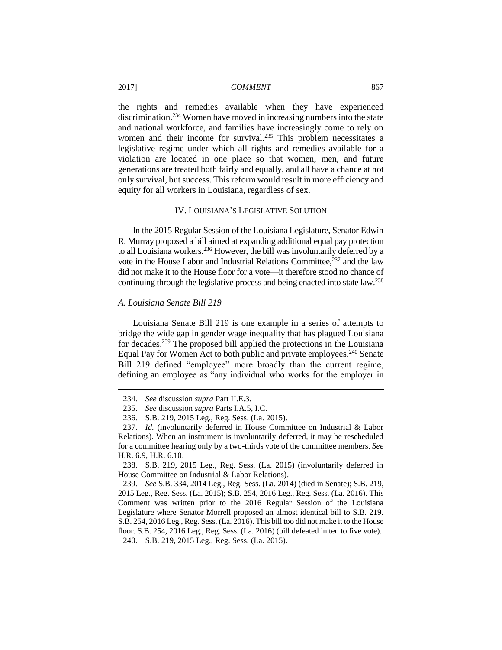the rights and remedies available when they have experienced discrimination.<sup>234</sup> Women have moved in increasing numbers into the state and national workforce, and families have increasingly come to rely on women and their income for survival.<sup>235</sup> This problem necessitates a legislative regime under which all rights and remedies available for a violation are located in one place so that women, men, and future generations are treated both fairly and equally, and all have a chance at not only survival, but success. This reform would result in more efficiency and equity for all workers in Louisiana, regardless of sex.

# IV. LOUISIANA'S LEGISLATIVE SOLUTION

In the 2015 Regular Session of the Louisiana Legislature, Senator Edwin R. Murray proposed a bill aimed at expanding additional equal pay protection to all Louisiana workers.<sup>236</sup> However, the bill was involuntarily deferred by a vote in the House Labor and Industrial Relations Committee, <sup>237</sup> and the law did not make it to the House floor for a vote—it therefore stood no chance of continuing through the legislative process and being enacted into state law.<sup>238</sup>

#### *A. Louisiana Senate Bill 219*

 $\overline{a}$ 

Louisiana Senate Bill 219 is one example in a series of attempts to bridge the wide gap in gender wage inequality that has plagued Louisiana for decades.<sup>239</sup> The proposed bill applied the protections in the Louisiana Equal Pay for Women Act to both public and private employees.<sup>240</sup> Senate Bill 219 defined "employee" more broadly than the current regime, defining an employee as "any individual who works for the employer in

<sup>234.</sup> *See* discussion *supra* Part II.E.3.

<sup>235.</sup> *See* discussion *supra* Parts I.A.5, I.C.

<sup>236.</sup> S.B. 219, 2015 Leg., Reg. Sess. (La. 2015).

<sup>237.</sup> *Id.* (involuntarily deferred in House Committee on Industrial & Labor Relations). When an instrument is involuntarily deferred, it may be rescheduled for a committee hearing only by a two-thirds vote of the committee members. *See* H.R. 6.9, H.R. 6.10.

<sup>238.</sup> S.B. 219, 2015 Leg., Reg. Sess. (La. 2015) (involuntarily deferred in House Committee on Industrial & Labor Relations).

<sup>239.</sup> *See* S.B. 334, 2014 Leg., Reg. Sess. (La. 2014) (died in Senate); S.B. 219, 2015 Leg., Reg. Sess. (La. 2015); S.B. 254, 2016 Leg., Reg. Sess. (La. 2016). This Comment was written prior to the 2016 Regular Session of the Louisiana Legislature where Senator Morrell proposed an almost identical bill to S.B. 219. S.B. 254, 2016 Leg., Reg. Sess. (La. 2016). This bill too did not make it to the House floor. S.B. 254, 2016 Leg., Reg. Sess. (La. 2016) (bill defeated in ten to five vote). 240. S.B. 219, 2015 Leg., Reg. Sess. (La. 2015).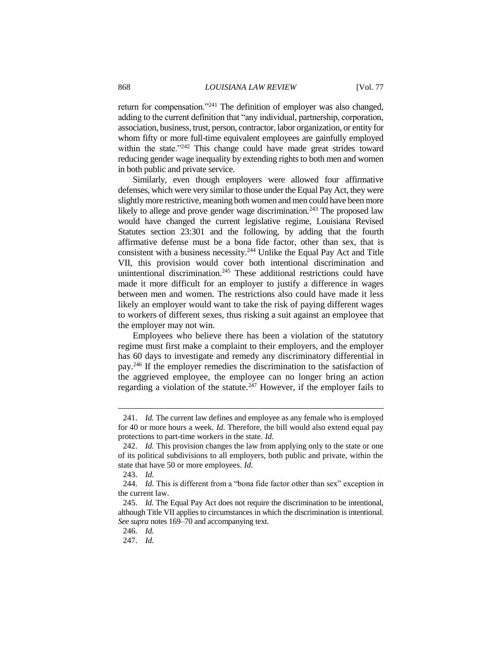return for compensation."<sup>241</sup> The definition of employer was also changed, adding to the current definition that "any individual, partnership, corporation, association, business, trust, person, contractor, labor organization, or entity for whom fifty or more full-time equivalent employees are gainfully employed within the state."<sup>242</sup> This change could have made great strides toward reducing gender wage inequality by extending rights to both men and women in both public and private service.

Similarly, even though employers were allowed four affirmative defenses, which were very similar to those under the Equal Pay Act, they were slightly more restrictive, meaning both women and men could have been more likely to allege and prove gender wage discrimination.<sup>243</sup> The proposed law would have changed the current legislative regime, Louisiana Revised Statutes section 23:301 and the following, by adding that the fourth affirmative defense must be a bona fide factor, other than sex, that is consistent with a business necessity.<sup>244</sup> Unlike the Equal Pay Act and Title VII, this provision would cover both intentional discrimination and unintentional discrimination.<sup>245</sup> These additional restrictions could have made it more difficult for an employer to justify a difference in wages between men and women. The restrictions also could have made it less likely an employer would want to take the risk of paying different wages to workers of different sexes, thus risking a suit against an employee that the employer may not win.

Employees who believe there has been a violation of the statutory regime must first make a complaint to their employers, and the employer has 60 days to investigate and remedy any discriminatory differential in pay.<sup>246</sup> If the employer remedies the discrimination to the satisfaction of the aggrieved employee, the employee can no longer bring an action regarding a violation of the statute.<sup>247</sup> However, if the employer fails to

<sup>241.</sup> *Id.* The current law defines and employee as any female who is employed for 40 or more hours a week. *Id.* Therefore, the bill would also extend equal pay protections to part-time workers in the state. *Id.*

<sup>242.</sup> *Id.* This provision changes the law from applying only to the state or one of its political subdivisions to all employers, both public and private, within the state that have 50 or more employees. *Id.*

<sup>243.</sup> *Id.*

<sup>244.</sup> *Id.* This is different from a "bona fide factor other than sex" exception in the current law.

<sup>245.</sup> *Id.* The Equal Pay Act does not require the discrimination to be intentional, although Title VII applies to circumstances in which the discrimination is intentional. *See supra* notes 169–70 and accompanying text.

<sup>246.</sup> *Id.*

<sup>247.</sup> *Id.*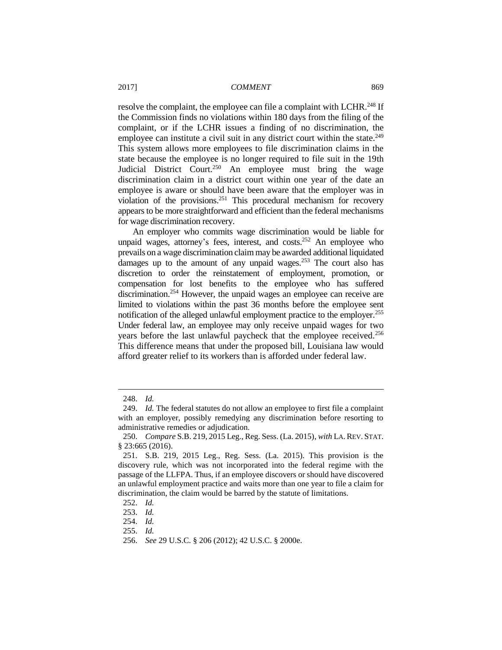resolve the complaint, the employee can file a complaint with LCHR.<sup>248</sup> If the Commission finds no violations within 180 days from the filing of the complaint, or if the LCHR issues a finding of no discrimination, the employee can institute a civil suit in any district court within the state.<sup>249</sup> This system allows more employees to file discrimination claims in the state because the employee is no longer required to file suit in the 19th Judicial District Court.<sup>250</sup> An employee must bring the wage discrimination claim in a district court within one year of the date an employee is aware or should have been aware that the employer was in violation of the provisions.<sup>251</sup> This procedural mechanism for recovery appears to be more straightforward and efficient than the federal mechanisms for wage discrimination recovery.

An employer who commits wage discrimination would be liable for unpaid wages, attorney's fees, interest, and costs.<sup>252</sup> An employee who prevails on a wage discrimination claim may be awarded additional liquidated damages up to the amount of any unpaid wages.<sup>253</sup> The court also has discretion to order the reinstatement of employment, promotion, or compensation for lost benefits to the employee who has suffered discrimination.<sup>254</sup> However, the unpaid wages an employee can receive are limited to violations within the past 36 months before the employee sent notification of the alleged unlawful employment practice to the employer.<sup>255</sup> Under federal law, an employee may only receive unpaid wages for two years before the last unlawful paycheck that the employee received.<sup>256</sup> This difference means that under the proposed bill, Louisiana law would afford greater relief to its workers than is afforded under federal law.

<sup>248.</sup> *Id.*

<sup>249.</sup> *Id.* The federal statutes do not allow an employee to first file a complaint with an employer, possibly remedying any discrimination before resorting to administrative remedies or adjudication.

<sup>250.</sup> *Compare* S.B. 219, 2015 Leg., Reg. Sess. (La. 2015), *with* LA. REV. STAT. § 23:665 (2016).

<sup>251.</sup> S.B. 219, 2015 Leg., Reg. Sess. (La. 2015). This provision is the discovery rule, which was not incorporated into the federal regime with the passage of the LLFPA. Thus, if an employee discovers or should have discovered an unlawful employment practice and waits more than one year to file a claim for discrimination, the claim would be barred by the statute of limitations.

<sup>252.</sup> *Id.*

<sup>253.</sup> *Id.*

<sup>254.</sup> *Id.*

<sup>255.</sup> *Id.*

<sup>256.</sup> *See* 29 U.S.C. § 206 (2012); 42 U.S.C. § 2000e.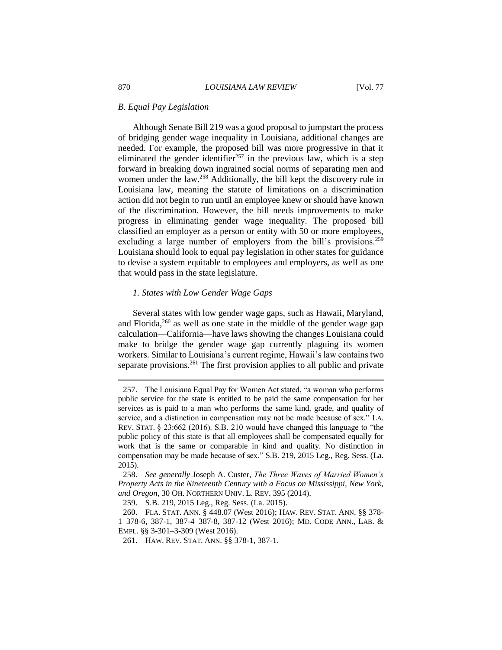#### *B. Equal Pay Legislation*

Although Senate Bill 219 was a good proposal to jumpstart the process of bridging gender wage inequality in Louisiana, additional changes are needed. For example, the proposed bill was more progressive in that it eliminated the gender identifier<sup>257</sup> in the previous law, which is a step forward in breaking down ingrained social norms of separating men and women under the law.<sup>258</sup> Additionally, the bill kept the discovery rule in Louisiana law, meaning the statute of limitations on a discrimination action did not begin to run until an employee knew or should have known of the discrimination. However, the bill needs improvements to make progress in eliminating gender wage inequality. The proposed bill classified an employer as a person or entity with 50 or more employees, excluding a large number of employers from the bill's provisions.<sup>259</sup> Louisiana should look to equal pay legislation in other states for guidance to devise a system equitable to employees and employers, as well as one that would pass in the state legislature.

# *1. States with Low Gender Wage Gaps*

Several states with low gender wage gaps, such as Hawaii, Maryland, and Florida, $260$  as well as one state in the middle of the gender wage gap calculation—California—have laws showing the changes Louisiana could make to bridge the gender wage gap currently plaguing its women workers. Similar to Louisiana's current regime, Hawaii's law contains two separate provisions.<sup>261</sup> The first provision applies to all public and private

<sup>257.</sup> The Louisiana Equal Pay for Women Act stated, "a woman who performs public service for the state is entitled to be paid the same compensation for her services as is paid to a man who performs the same kind, grade, and quality of service, and a distinction in compensation may not be made because of sex." LA. REV. STAT. § 23:662 (2016). S.B. 210 would have changed this language to "the public policy of this state is that all employees shall be compensated equally for work that is the same or comparable in kind and quality. No distinction in compensation may be made because of sex." S.B. 219, 2015 Leg., Reg. Sess. (La. 2015).

<sup>258.</sup> *See generally* Joseph A. Custer, *The Three Waves of Married Women's Property Acts in the Nineteenth Century with a Focus on Mississippi, New York, and Oregon*, 30 OH. NORTHERN UNIV. L. REV. 395 (2014).

<sup>259.</sup> S.B. 219, 2015 Leg., Reg. Sess. (La. 2015).

<sup>260.</sup> FLA. STAT. ANN. § 448.07 (West 2016); HAW. REV. STAT. ANN. §§ 378- 1–378-6, 387-1, 387-4–387-8, 387-12 (West 2016); MD. CODE ANN., LAB. & EMPL. §§ 3-301–3-309 (West 2016).

<sup>261.</sup> HAW. REV. STAT. ANN. §§ 378-1, 387-1.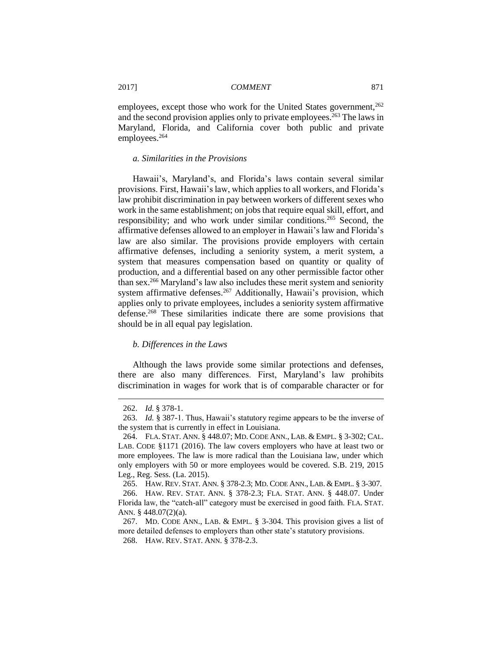employees, except those who work for the United States government,<sup>262</sup> and the second provision applies only to private employees.<sup>263</sup> The laws in Maryland, Florida, and California cover both public and private employees.<sup>264</sup>

# *a. Similarities in the Provisions*

Hawaii's, Maryland's, and Florida's laws contain several similar provisions. First, Hawaii's law, which applies to all workers, and Florida's law prohibit discrimination in pay between workers of different sexes who work in the same establishment; on jobs that require equal skill, effort, and responsibility; and who work under similar conditions.<sup>265</sup> Second, the affirmative defenses allowed to an employer in Hawaii's law and Florida's law are also similar. The provisions provide employers with certain affirmative defenses, including a seniority system, a merit system, a system that measures compensation based on quantity or quality of production, and a differential based on any other permissible factor other than sex.<sup>266</sup> Maryland's law also includes these merit system and seniority system affirmative defenses.<sup>267</sup> Additionally, Hawaii's provision, which applies only to private employees, includes a seniority system affirmative defense.<sup>268</sup> These similarities indicate there are some provisions that should be in all equal pay legislation.

#### *b. Differences in the Laws*

Although the laws provide some similar protections and defenses, there are also many differences. First, Maryland's law prohibits discrimination in wages for work that is of comparable character or for

<sup>262.</sup> *Id.* § 378-1.

<sup>263.</sup> *Id.* § 387-1. Thus, Hawaii's statutory regime appears to be the inverse of the system that is currently in effect in Louisiana.

<sup>264.</sup> FLA. STAT. ANN. § 448.07; MD. CODE ANN., LAB. & EMPL. § 3-302; CAL. LAB. CODE §1171 (2016). The law covers employers who have at least two or more employees. The law is more radical than the Louisiana law, under which only employers with 50 or more employees would be covered. S.B. 219, 2015 Leg., Reg. Sess. (La. 2015).

<sup>265.</sup> HAW. REV. STAT. ANN. § 378-2.3; MD. CODE ANN., LAB. & EMPL. § 3-307.

<sup>266.</sup> HAW. REV. STAT. ANN. § 378-2.3; FLA. STAT. ANN. § 448.07. Under Florida law, the "catch-all" category must be exercised in good faith. FLA. STAT. ANN. § 448.07(2)(a).

<sup>267.</sup> MD. CODE ANN., LAB. & EMPL. § 3-304. This provision gives a list of more detailed defenses to employers than other state's statutory provisions.

<sup>268.</sup> HAW. REV. STAT. ANN. § 378-2.3.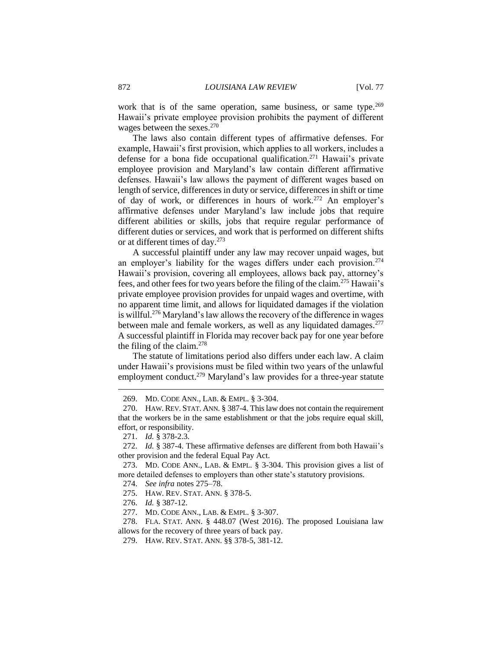work that is of the same operation, same business, or same type.<sup>269</sup> Hawaii's private employee provision prohibits the payment of different wages between the sexes.<sup>270</sup>

The laws also contain different types of affirmative defenses. For example, Hawaii's first provision, which applies to all workers, includes a defense for a bona fide occupational qualification.<sup>271</sup> Hawaii's private employee provision and Maryland's law contain different affirmative defenses. Hawaii's law allows the payment of different wages based on length of service, differences in duty or service, differences in shift or time of day of work, or differences in hours of work.<sup>272</sup> An employer's affirmative defenses under Maryland's law include jobs that require different abilities or skills, jobs that require regular performance of different duties or services, and work that is performed on different shifts or at different times of day.<sup>273</sup>

A successful plaintiff under any law may recover unpaid wages, but an employer's liability for the wages differs under each provision.<sup>274</sup> Hawaii's provision, covering all employees, allows back pay, attorney's fees, and other fees for two years before the filing of the claim.<sup>275</sup> Hawaii's private employee provision provides for unpaid wages and overtime, with no apparent time limit, and allows for liquidated damages if the violation is willful.<sup>276</sup> Maryland's law allows the recovery of the difference in wages between male and female workers, as well as any liquidated damages.<sup>277</sup> A successful plaintiff in Florida may recover back pay for one year before the filing of the claim. $278$ 

The statute of limitations period also differs under each law. A claim under Hawaii's provisions must be filed within two years of the unlawful employment conduct.<sup>279</sup> Maryland's law provides for a three-year statute

<sup>269.</sup> MD. CODE ANN., LAB. & EMPL. § 3-304.

<sup>270.</sup> HAW. REV. STAT. ANN. § 387-4. This law does not contain the requirement that the workers be in the same establishment or that the jobs require equal skill, effort, or responsibility.

<sup>271.</sup> *Id.* § 378-2.3.

<sup>272.</sup> *Id.* § 387-4. These affirmative defenses are different from both Hawaii's other provision and the federal Equal Pay Act.

<sup>273.</sup> MD. CODE ANN., LAB. & EMPL. § 3-304. This provision gives a list of more detailed defenses to employers than other state's statutory provisions.

<sup>274.</sup> *See infra* notes 275–78.

<sup>275.</sup> HAW. REV. STAT. ANN. § 378-5.

<sup>276.</sup> *Id.* § 387-12.

<sup>277.</sup> MD. CODE ANN., LAB. & EMPL. § 3-307.

<sup>278.</sup> FLA. STAT. ANN. § 448.07 (West 2016). The proposed Louisiana law allows for the recovery of three years of back pay.

<sup>279.</sup> HAW. REV. STAT. ANN. §§ 378-5, 381-12.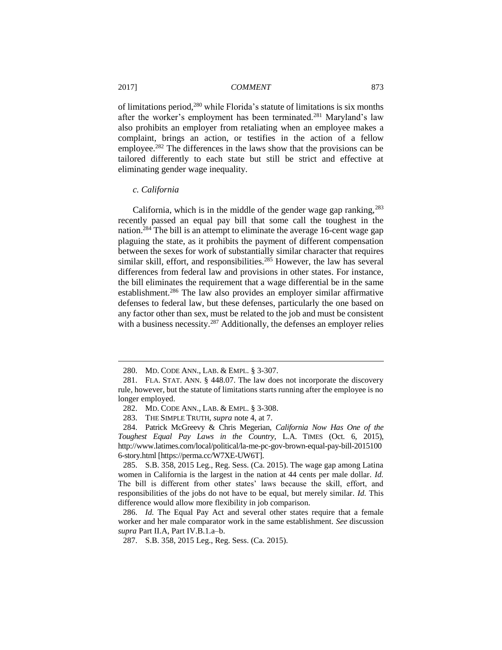of limitations period,<sup>280</sup> while Florida's statute of limitations is six months after the worker's employment has been terminated.<sup>281</sup> Maryland's law also prohibits an employer from retaliating when an employee makes a complaint, brings an action, or testifies in the action of a fellow employee.<sup>282</sup> The differences in the laws show that the provisions can be tailored differently to each state but still be strict and effective at eliminating gender wage inequality.

#### *c. California*

California, which is in the middle of the gender wage gap ranking,  $283$ recently passed an equal pay bill that some call the toughest in the nation.<sup>284</sup> The bill is an attempt to eliminate the average 16-cent wage gap plaguing the state, as it prohibits the payment of different compensation between the sexes for work of substantially similar character that requires similar skill, effort, and responsibilities.<sup>285</sup> However, the law has several differences from federal law and provisions in other states. For instance, the bill eliminates the requirement that a wage differential be in the same establishment.<sup>286</sup> The law also provides an employer similar affirmative defenses to federal law, but these defenses, particularly the one based on any factor other than sex, must be related to the job and must be consistent with a business necessity.<sup>287</sup> Additionally, the defenses an employer relies

<sup>280.</sup> MD. CODE ANN., LAB. & EMPL. § 3-307.

<sup>281.</sup> FLA. STAT. ANN. § 448.07. The law does not incorporate the discovery rule, however, but the statute of limitations starts running after the employee is no longer employed.

<sup>282.</sup> MD. CODE ANN., LAB. & EMPL. § 3-308.

<sup>283.</sup> THE SIMPLE TRUTH, *supra* note 4, at 7.

<sup>284.</sup> Patrick McGreevy & Chris Megerian, *California Now Has One of the Toughest Equal Pay Laws in the Country*, L.A. TIMES (Oct. 6, 2015), http://www.latimes.com/local/political/la-me-pc-gov-brown-equal-pay-bill-2015100 6-story.html [https://perma.cc/W7XE-UW6T].

<sup>285.</sup> S.B. 358, 2015 Leg., Reg. Sess. (Ca. 2015). The wage gap among Latina women in California is the largest in the nation at 44 cents per male dollar. *Id.* The bill is different from other states' laws because the skill, effort, and responsibilities of the jobs do not have to be equal, but merely similar. *Id.* This difference would allow more flexibility in job comparison.

<sup>286.</sup> *Id.* The Equal Pay Act and several other states require that a female worker and her male comparator work in the same establishment. *See* discussion *supra* Part II.A, Part IV.B.1.a–b.

<sup>287.</sup> S.B. 358, 2015 Leg., Reg. Sess. (Ca. 2015).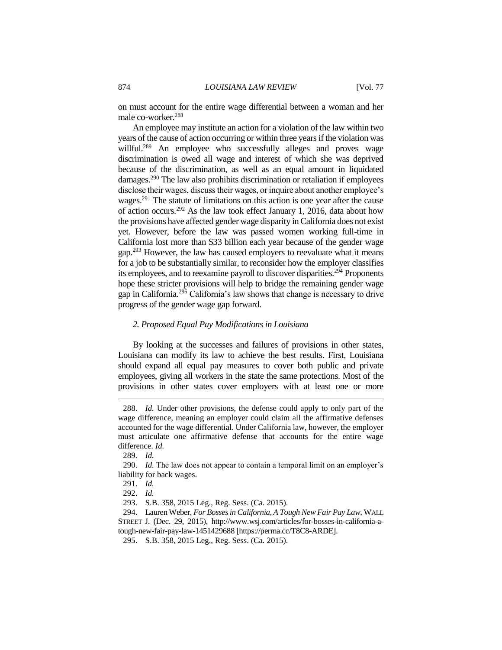on must account for the entire wage differential between a woman and her male co-worker.<sup>288</sup>

An employee may institute an action for a violation of the law within two years of the cause of action occurring or within three years if the violation was willful.<sup>289</sup> An employee who successfully alleges and proves wage discrimination is owed all wage and interest of which she was deprived because of the discrimination, as well as an equal amount in liquidated damages.<sup>290</sup> The law also prohibits discrimination or retaliation if employees disclose their wages, discuss their wages, or inquire about another employee's wages.<sup>291</sup> The statute of limitations on this action is one year after the cause of action occurs.<sup>292</sup> As the law took effect January 1, 2016, data about how the provisions have affected gender wage disparity in California does not exist yet. However, before the law was passed women working full-time in California lost more than \$33 billion each year because of the gender wage gap.<sup>293</sup> However, the law has caused employers to reevaluate what it means for a job to be substantially similar, to reconsider how the employer classifies its employees, and to reexamine payroll to discover disparities.<sup>294</sup> Proponents hope these stricter provisions will help to bridge the remaining gender wage gap in California.<sup>295</sup> California's law shows that change is necessary to drive progress of the gender wage gap forward.

#### *2. Proposed Equal Pay Modifications in Louisiana*

By looking at the successes and failures of provisions in other states, Louisiana can modify its law to achieve the best results. First, Louisiana should expand all equal pay measures to cover both public and private employees, giving all workers in the state the same protections. Most of the provisions in other states cover employers with at least one or more

<sup>288.</sup> *Id.* Under other provisions, the defense could apply to only part of the wage difference, meaning an employer could claim all the affirmative defenses accounted for the wage differential. Under California law, however, the employer must articulate one affirmative defense that accounts for the entire wage difference. *Id.*

<sup>289.</sup> *Id.*

<sup>290.</sup> *Id.* The law does not appear to contain a temporal limit on an employer's liability for back wages.

<sup>291.</sup> *Id.*

<sup>292.</sup> *Id.*

<sup>293.</sup> S.B. 358, 2015 Leg., Reg. Sess. (Ca. 2015).

<sup>294.</sup> Lauren Weber, *For Bosses in California, A Tough New Fair Pay Law*, WALL STREET J. (Dec. 29, 2015), http://www.wsj.com/articles/for-bosses-in-california-atough-new-fair-pay-law-1451429688 [https://perma.cc/T8C8-ARDE].

<sup>295.</sup> S.B. 358, 2015 Leg., Reg. Sess. (Ca. 2015).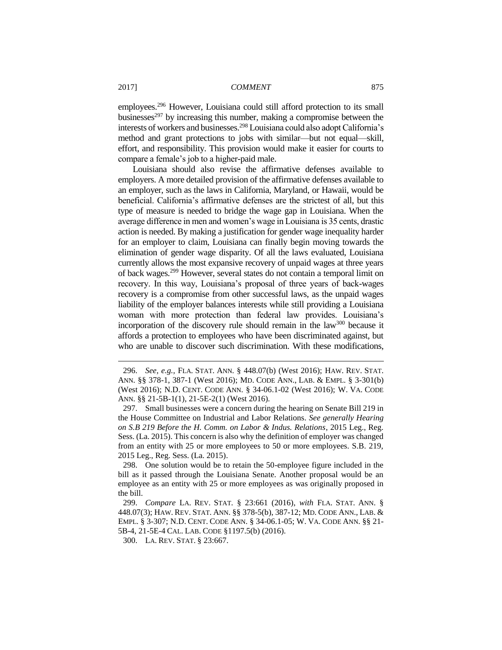employees.<sup>296</sup> However, Louisiana could still afford protection to its small businesses<sup>297</sup> by increasing this number, making a compromise between the interests of workers and businesses.<sup>298</sup> Louisiana could also adopt California's method and grant protections to jobs with similar—but not equal—skill, effort, and responsibility. This provision would make it easier for courts to compare a female's job to a higher-paid male.

Louisiana should also revise the affirmative defenses available to employers. A more detailed provision of the affirmative defenses available to an employer, such as the laws in California, Maryland, or Hawaii, would be beneficial. California's affirmative defenses are the strictest of all, but this type of measure is needed to bridge the wage gap in Louisiana. When the average difference in men and women's wage in Louisiana is 35 cents, drastic action is needed. By making a justification for gender wage inequality harder for an employer to claim, Louisiana can finally begin moving towards the elimination of gender wage disparity. Of all the laws evaluated, Louisiana currently allows the most expansive recovery of unpaid wages at three years of back wages.<sup>299</sup> However, several states do not contain a temporal limit on recovery. In this way, Louisiana's proposal of three years of back-wages recovery is a compromise from other successful laws, as the unpaid wages liability of the employer balances interests while still providing a Louisiana woman with more protection than federal law provides. Louisiana's incorporation of the discovery rule should remain in the law<sup>300</sup> because it affords a protection to employees who have been discriminated against, but who are unable to discover such discrimination. With these modifications,

298. One solution would be to retain the 50-employee figure included in the bill as it passed through the Louisiana Senate. Another proposal would be an employee as an entity with 25 or more employees as was originally proposed in the bill.

<sup>296.</sup> *See, e.g.,* FLA. STAT. ANN. § 448.07(b) (West 2016); HAW. REV. STAT. ANN. §§ 378-1, 387-1 (West 2016); MD. CODE ANN., LAB. & EMPL. § 3-301(b) (West 2016); N.D. CENT. CODE ANN. § 34-06.1-02 (West 2016); W. VA. CODE ANN. §§ 21-5B-1(1), 21-5E-2(1) (West 2016).

<sup>297.</sup> Small businesses were a concern during the hearing on Senate Bill 219 in the House Committee on Industrial and Labor Relations. *See generally Hearing on S.B 219 Before the H. Comm. on Labor & Indus. Relations*, 2015 Leg., Reg. Sess. (La. 2015). This concern is also why the definition of employer was changed from an entity with 25 or more employees to 50 or more employees. S.B. 219, 2015 Leg., Reg. Sess. (La. 2015).

<sup>299.</sup> *Compare* LA. REV. STAT. § 23:661 (2016), *with* FLA. STAT. ANN. § 448.07(3); HAW. REV. STAT. ANN. §§ 378-5(b), 387-12; MD. CODE ANN., LAB. & EMPL. § 3-307; N.D. CENT. CODE ANN. § 34-06.1-05; W. VA. CODE ANN. §§ 21- 5B-4, 21-5E-4 CAL. LAB. CODE §1197.5(b) (2016).

<sup>300.</sup> LA. REV. STAT. § 23:667.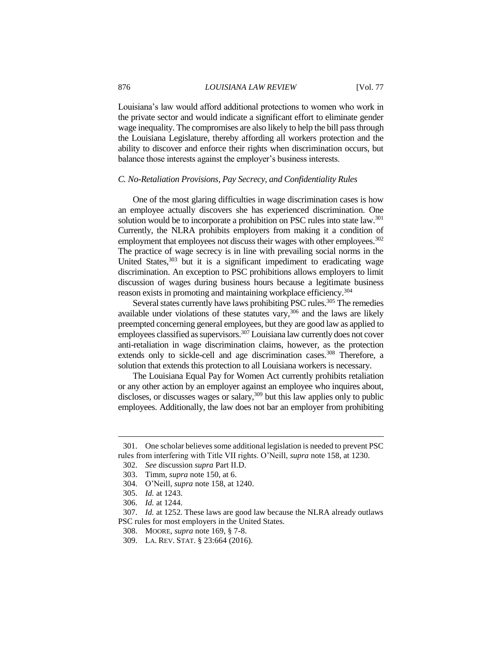#### 876 *LOUISIANA LAW REVIEW* [Vol. 77

Louisiana's law would afford additional protections to women who work in the private sector and would indicate a significant effort to eliminate gender wage inequality. The compromises are also likely to help the bill pass through the Louisiana Legislature, thereby affording all workers protection and the ability to discover and enforce their rights when discrimination occurs, but balance those interests against the employer's business interests.

#### *C. No-Retaliation Provisions, Pay Secrecy, and Confidentiality Rules*

One of the most glaring difficulties in wage discrimination cases is how an employee actually discovers she has experienced discrimination. One solution would be to incorporate a prohibition on PSC rules into state law.<sup>301</sup> Currently, the NLRA prohibits employers from making it a condition of employment that employees not discuss their wages with other employees.<sup>302</sup> The practice of wage secrecy is in line with prevailing social norms in the United States, $303$  but it is a significant impediment to eradicating wage discrimination. An exception to PSC prohibitions allows employers to limit discussion of wages during business hours because a legitimate business reason exists in promoting and maintaining workplace efficiency.<sup>304</sup>

Several states currently have laws prohibiting PSC rules.<sup>305</sup> The remedies available under violations of these statutes vary,  $306$  and the laws are likely preempted concerning general employees, but they are good law as applied to employees classified as supervisors.<sup>307</sup> Louisiana law currently does not cover anti-retaliation in wage discrimination claims, however, as the protection extends only to sickle-cell and age discrimination cases.<sup>308</sup> Therefore, a solution that extends this protection to all Louisiana workers is necessary.

The Louisiana Equal Pay for Women Act currently prohibits retaliation or any other action by an employer against an employee who inquires about, discloses, or discusses wages or salary,<sup>309</sup> but this law applies only to public employees. Additionally, the law does not bar an employer from prohibiting

<sup>301.</sup> One scholar believes some additional legislation is needed to prevent PSC rules from interfering with Title VII rights. O'Neill, *supra* note 158, at 1230.

<sup>302.</sup> *See* discussion *supra* Part II.D.

<sup>303.</sup> Timm, *supra* note 150, at 6.

<sup>304.</sup> O'Neill, *supra* note 158, at 1240.

<sup>305.</sup> *Id.* at 1243.

<sup>306.</sup> *Id.* at 1244.

<sup>307.</sup> *Id.* at 1252. These laws are good law because the NLRA already outlaws PSC rules for most employers in the United States.

<sup>308.</sup> MOORE, *supra* note 169, § 7-8.

<sup>309.</sup> LA. REV. STAT. § 23:664 (2016).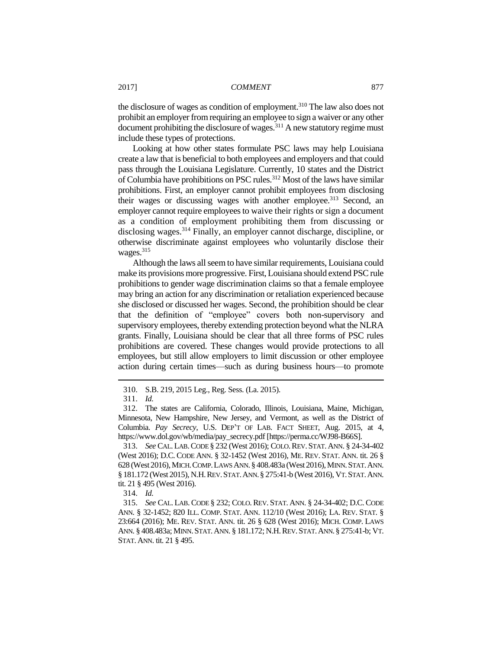the disclosure of wages as condition of employment.<sup>310</sup> The law also does not prohibit an employer from requiring an employee to sign a waiver or any other  $\frac{1}{2}$  document prohibiting the disclosure of wages.<sup>311</sup> A new statutory regime must include these types of protections.

Looking at how other states formulate PSC laws may help Louisiana create a law that is beneficial to both employees and employers and that could pass through the Louisiana Legislature. Currently, 10 states and the District of Columbia have prohibitions on PSC rules.<sup>312</sup> Most of the laws have similar prohibitions. First, an employer cannot prohibit employees from disclosing their wages or discussing wages with another employee.<sup>313</sup> Second, an employer cannot require employees to waive their rights or sign a document as a condition of employment prohibiting them from discussing or disclosing wages.<sup>314</sup> Finally, an employer cannot discharge, discipline, or otherwise discriminate against employees who voluntarily disclose their wages.<sup>315</sup>

Although the laws all seem to have similar requirements, Louisiana could make its provisions more progressive. First, Louisiana should extend PSC rule prohibitions to gender wage discrimination claims so that a female employee may bring an action for any discrimination or retaliation experienced because she disclosed or discussed her wages. Second, the prohibition should be clear that the definition of "employee" covers both non-supervisory and supervisory employees, thereby extending protection beyond what the NLRA grants. Finally, Louisiana should be clear that all three forms of PSC rules prohibitions are covered. These changes would provide protections to all employees, but still allow employers to limit discussion or other employee action during certain times—such as during business hours—to promote

<sup>310.</sup> S.B. 219, 2015 Leg., Reg. Sess. (La. 2015).

<sup>311.</sup> *Id.*

<sup>312.</sup> The states are California, Colorado, Illinois, Louisiana, Maine, Michigan, Minnesota, New Hampshire, New Jersey, and Vermont, as well as the District of Columbia. *Pay Secrecy*, U.S. DEP'T OF LAB. FACT SHEET, Aug. 2015, at 4, https://www.dol.gov/wb/media/pay\_secrecy.pdf [https://perma.cc/WJ98-B66S].

<sup>313.</sup> *See* CAL.LAB.CODE § 232 (West 2016); COLO.REV.STAT. ANN. § 24-34-402 (West 2016); D.C. CODE ANN. § 32-1452 (West 2016), ME. REV. STAT. ANN. tit. 26 § 628 (West 2016), MICH.COMP.LAWS ANN. § 408.483a (West 2016), MINN.STAT.ANN. § 181.172 (West 2015), N.H.REV.STAT.ANN.§ 275:41-b (West 2016), VT.STAT.ANN. tit. 21 § 495 (West 2016).

<sup>314.</sup> *Id.*

<sup>315.</sup> *See* CAL. LAB.CODE § 232; COLO.REV. STAT. ANN. § 24-34-402; D.C.CODE ANN. § 32-1452; 820 ILL. COMP. STAT. ANN. 112/10 (West 2016); LA. REV. STAT. § 23:664 (2016); ME. REV. STAT. ANN. tit. 26 § 628 (West 2016); MICH. COMP. LAWS ANN. § 408.483a; MINN.STAT.ANN. § 181.172; N.H.REV.STAT.ANN.§ 275:41-b; VT. STAT. ANN. tit. 21 § 495.